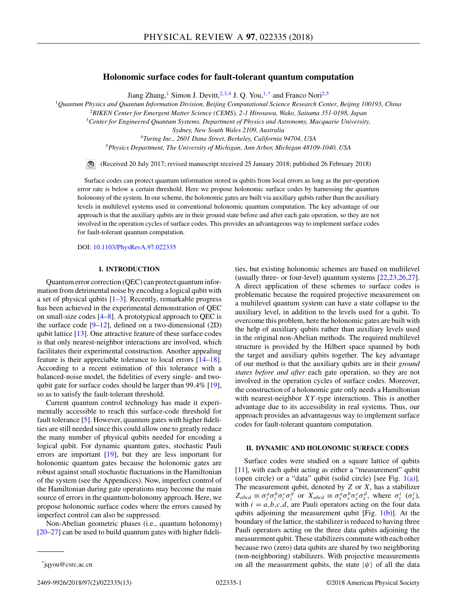## **Holonomic surface codes for fault-tolerant quantum computation**

Jiang Zhang,<sup>1</sup> Simon J. Devitt,<sup>2,3,4</sup> J. O. You,<sup>1,\*</sup> and Franco Nori<sup>2,5</sup>

<sup>1</sup>*Quantum Physics and Quantum Information Division, Beijing Computational Science Research Center, Beijing 100193, China*

<sup>2</sup>*RIKEN Center for Emergent Matter Science (CEMS), 2-1 Hirosawa, Wako, Saitama 351-0198, Japan*

<sup>3</sup>*Center for Engineered Quantum Systems, Department of Physics and Astronomy, Macquarie University,*

*Sydney, New South Wales 2109, Australia*

<sup>4</sup>*Turing Inc., 2601 Dana Street, Berkeley, California 94704, USA* <sup>5</sup>*Physics Department, The University of Michigan, Ann Arbor, Michigan 48109-1040, USA*

 $\bigcirc$ (Received 20 July 2017; revised manuscript received 25 January 2018; published 26 February 2018)

Surface codes can protect quantum information stored in qubits from local errors as long as the per-operation error rate is below a certain threshold. Here we propose holonomic surface codes by harnessing the quantum holonomy of the system. In our scheme, the holonomic gates are built via auxiliary qubits rather than the auxiliary levels in multilevel systems used in conventional holonomic quantum computation. The key advantage of our approach is that the auxiliary qubits are in their ground state before and after each gate operation, so they are not involved in the operation cycles of surface codes. This provides an advantageous way to implement surface codes for fault-tolerant quantum computation.

DOI: [10.1103/PhysRevA.97.022335](https://doi.org/10.1103/PhysRevA.97.022335)

## **I. INTRODUCTION**

Quantum error correction (QEC) can protect quantum information from detrimental noise by encoding a logical qubit with a set of physical qubits  $[1-3]$ . Recently, remarkable progress has been achieved in the experimental demonstration of QEC on small-size codes  $[4–8]$ . A prototypical approach to QEC is the surface code  $[9-12]$ , defined on a two-dimensional  $(2D)$ qubit lattice [\[13\]](#page-11-0). One attractive feature of these surface codes is that only nearest-neighbor interactions are involved, which facilitates their experimental construction. Another appealing feature is their appreciable tolerance to local errors [\[14–](#page-11-0)[18\]](#page-12-0). According to a recent estimation of this tolerance with a balanced-noise model, the fidelities of every single- and twoqubit gate for surface codes should be larger than 99*.*4% [\[19\]](#page-12-0), so as to satisfy the fault-tolerant threshold.

Current quantum control technology has made it experimentally accessible to reach this surface-code threshold for fault tolerance [\[5\]](#page-11-0). However, quantum gates with higher fidelities are still needed since this could allow one to greatly reduce the many number of physical qubits needed for encoding a logical qubit. For dynamic quantum gates, stochastic Pauli errors are important [\[19\]](#page-12-0), but they are less important for holonomic quantum gates because the holonomic gates are robust against small stochastic fluctuations in the Hamiltonian of the system (see the Appendices). Now, imperfect control of the Hamiltonian during gate operations may become the main source of errors in the quantum-holonomy approach. Here, we propose holonomic surface codes where the errors caused by imperfect control can also be suppressed.

Non-Abelian geometric phases (i.e., quantum holonomy) [\[20–27\]](#page-12-0) can be used to build quantum gates with higher fideli-

# **II. DYNAMIC AND HOLONOMIC SURFACE CODES**

Surface codes were studied on a square lattice of qubits [\[11\]](#page-11-0), with each qubit acting as either a "measurement" qubit (open circle) or a "data" qubit (solid circle) [see Fig.  $1(a)$ ]. The measurement qubit, denoted by *Z* or *X*, has a stabilizer  $Z_{abcd} \equiv \sigma_z^a \sigma_z^b \sigma_z^c \sigma_z^d$  or  $X_{abcd} \equiv \sigma_x^a \sigma_x^b \sigma_x^c \sigma_x^d$ , where  $\sigma_z^i$  ( $\sigma_x^i$ ), with  $i = a,b,c,d$ , are Pauli operators acting on the four data qubits adjoining the measurement qubit [Fig.  $1(b)$ ]. At the boundary of the lattice, the stabilizer is reduced to having three Pauli operators acting on the three data qubits adjoining the measurement qubit. These stabilizers commute with each other because two (zero) data qubits are shared by two neighboring (non-neighboring) stabilizers. With projective measurements on all the measurement qubits, the state  $|\psi\rangle$  of all the data

ties, but existing holonomic schemes are based on multilevel (usually three- or four-level) quantum systems [\[22,23,26,27\]](#page-12-0). A direct application of these schemes to surface codes is problematic because the required projective measurement on a multilevel quantum system can have a state collapse to the auxiliary level, in addition to the levels used for a qubit. To overcome this problem, here the holonomic gates are built with the help of auxiliary qubits rather than auxiliary levels used in the original non-Abelian methods. The required multilevel structure is provided by the Hilbert space spanned by both the target and auxiliary qubits together. The key advantage of our method is that the auxiliary qubits are in their *ground states before and after* each gate operation, so they are not involved in the operation cycles of surface codes. Moreover, the construction of a holonomic gate only needs a Hamiltonian with nearest-neighbor *XY* -type interactions. This is another advantage due to its accessibility in real systems. Thus, our approach provides an advantageous way to implement surface codes for fault-tolerant quantum computation.

<sup>\*</sup>jqyou@csrc.ac.cn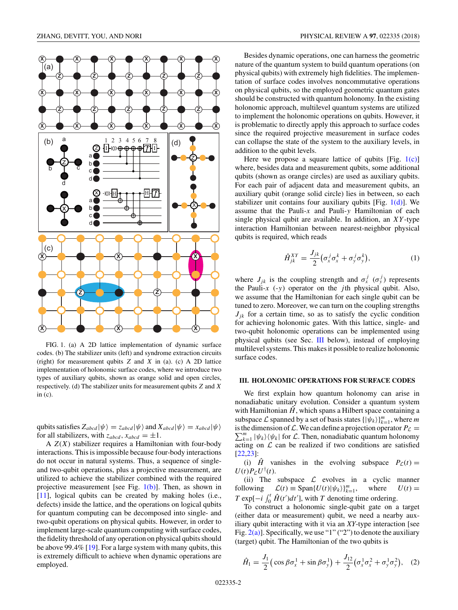$\overline{z}$   $\overline{z}$   $\overline{z}$   $\overline{z}$   $\overline{z}$   $\overline{z}$   $\overline{z}$  $\widehat{\mathbf{x}}$   $\widehat{\mathbf{x}}$   $\widehat{\mathbf{x}}$   $\widehat{\mathbf{x}}$   $\widehat{\mathbf{x}}$  $\widehat{\mathbf{x}}$   $\widehat{\mathbf{x}}$   $\widehat{\mathbf{x}}$ **Z Z Z Z Z Z Z Z**  $\widehat{\mathbf{X}}$  **X**  $\widehat{\mathbf{X}}$   $\widehat{\mathbf{X}}$   $\widehat{\mathbf{X}}$   $\widehat{\mathbf{X}}$   $\widehat{\mathbf{X}}$   $\widehat{\mathbf{X}}$   $\widehat{\mathbf{X}}$   $\widehat{\mathbf{X}}$   $\widehat{\mathbf{X}}$   $\widehat{\mathbf{X}}$  $\widehat{\mathbf{X}}$   $\widehat{\mathbf{X}}$   $\widehat{\mathbf{X}}$   $\widehat{\mathbf{X}}$   $\widehat{\mathbf{X}}$   $\widehat{\mathbf{X}}$   $\widehat{\mathbf{X}}$   $\widehat{\mathbf{X}}$   $\widehat{\mathbf{X}}$  $\overline{\text{H}}$  + + +  $\overline{\text{H}}$ 1  $\overline{0}$ 678 2 3 45 a b c d ℈<del></del>ℿ⅏<del>℗℗℗</del>ℎℿ a b c d  $\overline{\mathbf{x}}$  $\hat{\mathsf{x}}$ z a  $5$   $9$   $8$ d (b) z  $\widehat{\mathsf{x}}$ (d) **Z Z X**  $\widehat{\mathbf{X}}$  **X**  $\longrightarrow$   $\widehat{\mathbf{X}}$   $\longrightarrow$   $\widehat{\mathbf{X}}$   $\longrightarrow$   $\widehat{\mathbf{X}}$ **X X** (c)

FIG. 1. (a) A 2D lattice implementation of dynamic surface codes. (b) The stabilizer units (left) and syndrome extraction circuits (right) for measurement qubits *Z* and *X* in (a). (c) A 2D lattice implementation of holonomic surface codes, where we introduce two types of auxiliary qubits, shown as orange solid and open circles, respectively. (d) The stabilizer units for measurement qubits *Z* and *X* in (c).

qubits satisfies  $Z_{abcd} |\psi\rangle = z_{abcd} |\psi\rangle$  and  $X_{abcd} |\psi\rangle = x_{abcd} |\psi\rangle$ for all stabilizers, with  $z_{abcd}$ ,  $x_{abcd} = \pm 1$ .

A *Z*(*X*) stabilizer requires a Hamiltonian with four-body interactions. This is impossible because four-body interactions do not occur in natural systems. Thus, a sequence of singleand two-qubit operations, plus a projective measurement, are utilized to achieve the stabilizer combined with the required projective measurement [see Fig.  $1(b)$ ]. Then, as shown in [\[11\]](#page-11-0), logical qubits can be created by making holes (i.e., defects) inside the lattice, and the operations on logical qubits for quantum computing can be decomposed into single- and two-qubit operations on physical qubits. However, in order to implement large-scale quantum computing with surface codes, the fidelity threshold of any operation on physical qubits should be above 99*.*4% [\[19\]](#page-12-0). For a large system with many qubits, this is extremely difficult to achieve when dynamic operations are employed.

Besides dynamic operations, one can harness the geometric nature of the quantum system to build quantum operations (on physical qubits) with extremely high fidelities. The implementation of surface codes involves noncommutative operations on physical qubits, so the employed geometric quantum gates should be constructed with quantum holonomy. In the existing holonomic approach, multilevel quantum systems are utilized to implement the holonomic operations on qubits. However, it is problematic to directly apply this approach to surface codes since the required projective measurement in surface codes can collapse the state of the system to the auxiliary levels, in addition to the qubit levels.

Here we propose a square lattice of qubits [Fig.  $1(c)$ ] where, besides data and measurement qubits, some additional qubits (shown as orange circles) are used as auxiliary qubits. For each pair of adjacent data and measurement qubits, an auxiliary qubit (orange solid circle) lies in between, so each stabilizer unit contains four auxiliary qubits [Fig.  $1(d)$ ]. We assume that the Pauli-*x* and Pauli-*y* Hamiltonian of each single physical qubit are available. In addition, an *XY* -type interaction Hamiltonian between nearest-neighbor physical qubits is required, which reads

$$
\hat{H}_{jk}^{XY} = \frac{J_{jk}}{2} \left( \sigma_x^j \sigma_x^k + \sigma_y^j \sigma_y^k \right),\tag{1}
$$

where  $J_{jk}$  is the coupling strength and  $\sigma_x^j$  ( $\sigma_y^j$ ) represents the Pauli-*x* (-*y*) operator on the *j* th physical qubit. Also, we assume that the Hamiltonian for each single qubit can be tuned to zero. Moreover, we can turn on the coupling strengths  $J_{ik}$  for a certain time, so as to satisfy the cyclic condition for achieving holonomic gates. With this lattice, single- and two-qubit holonomic operations can be implemented using physical qubits (see Sec. III below), instead of employing multilevel systems. This makes it possible to realize holonomic surface codes.

#### **III. HOLONOMIC OPERATIONS FOR SURFACE CODES**

We first explain how quantum holonomy can arise in nonadiabatic unitary evolution. Consider a quantum system with Hamiltonian  $\hat{H}$ , which spans a Hilbert space containing a subspace  $\mathcal L$  spanned by a set of basis states  $\{|\psi_k\rangle\}_{k=1}^m$ , where *m*  $\sum_{k=1}^{m} |\psi_k\rangle \langle \psi_k|$  for  $\mathcal{L}$ . Then, nonadiabatic quantum holonomy is the dimension of L. We can define a projection operator  $P_L$  = acting on  $\mathcal L$  can be realized if two conditions are satisfied [\[22,23\]](#page-12-0):

(i)  $\hat{H}$  vanishes in the evolving subspace  $P_{\hat{L}}(t) =$  $U(t)P_{\mathcal{L}}U^{\dagger}(t).$ 

(ii) The subspace  $\mathcal L$  evolves in a cyclic manner<br>lowing  $\mathcal L(t) \equiv \text{Span}\{U(t)|\psi_k\rangle\}_{k=1}^m$ , where  $U(t) =$ following  $\mathcal{L}(t) \equiv \text{Span}\{U(t)|\psi_k\rangle\}_{k=1}^m$ ,  $U(t) =$ *T* exp[ $-i$   $\int_0^t \hat{H}(t')dt'$ ], with *T* denoting time ordering.

To construct a holonomic single-qubit gate on a target (either data or measurement) qubit, we need a nearby auxiliary qubit interacting with it via an *XY*-type interaction [see Fig.  $2(a)$ ]. Specifically, we use "1" ("2") to denote the auxiliary (target) qubit. The Hamiltonian of the two qubits is

$$
\hat{H}_1 = \frac{J_1}{2} \left( \cos \beta \sigma_x^1 + \sin \beta \sigma_y^1 \right) + \frac{J_{12}}{2} \left( \sigma_x^1 \sigma_x^2 + \sigma_y^1 \sigma_y^2 \right), \quad (2)
$$

<span id="page-1-0"></span>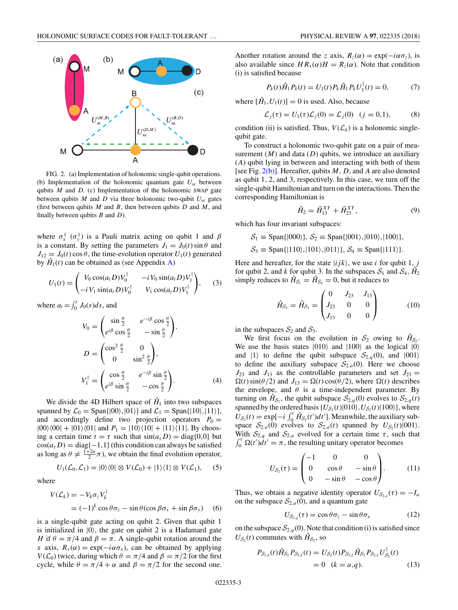<span id="page-2-0"></span>

FIG. 2. (a) Implementation of holonomic single-qubit operations. (b) Implementation of the holonomic quantum gate *U*sz between qubits *M* and *D*. (c) Implementation of the holonomic SWAP gate between qubits  $M$  and  $D$  via three holonomic two-qubit  $U_{sz}$  gates (first between qubits *M* and *B*, then between qubits *D* and *M*, and finally between qubits *B* and *D*).

where  $\sigma_x^1$  ( $\sigma_y^1$ ) is a Pauli matrix acting on qubit 1 and  $\beta$ is a constant. By setting the parameters  $J_1 = J_0(t) \sin \theta$  and  $J_{12} = J_0(t) \cos \theta$ , the time-evolution operator  $U_1(t)$  generated by  $\hat{H}_1(t)$  can be obtained as (see Appendix [A\)](#page-4-0)

$$
U_1(t) = \begin{pmatrix} V_0 \cos(a_t D) V_0^{\dagger} & -i V_0 \sin(a_t D) V_1^{\dagger} \\ -i V_1 \sin(a_t D) V_0^{\dagger} & V_1 \cos(a_t D) V_1^{\dagger} \end{pmatrix}, \quad (3)
$$

where  $a_t = \int_0^t J_0(s)ds$ , and

$$
V_0 = \begin{pmatrix} \sin\frac{\theta}{2} & e^{-i\beta}\cos\frac{\theta}{2} \\ e^{i\beta}\cos\frac{\theta}{2} & -\sin\frac{\theta}{2} \end{pmatrix},
$$
  
\n
$$
D = \begin{pmatrix} \cos^2\frac{\theta}{2} & 0 \\ 0 & \sin^2\frac{\theta}{2} \end{pmatrix},
$$
  
\n
$$
V_1^{\dagger} = \begin{pmatrix} \cos\frac{\theta}{2} & e^{-i\beta}\sin\frac{\theta}{2} \\ e^{i\beta}\sin\frac{\theta}{2} & -\cos\frac{\theta}{2} \end{pmatrix}.
$$
 (4)

We divide the 4D Hilbert space of  $\hat{H}_1$  into two subspaces spanned by  $\mathcal{L}_0 = \text{Span}\{|00\rangle, |01\rangle\}$  and  $\mathcal{L}_1 = \text{Span}\{|10\rangle, |11\rangle\}$ , and accordingly define two projection operators  $P_0 =$  $|00\rangle\langle00|+|01\rangle\langle01|$  and  $P_1 = |10\rangle\langle10|+|11\rangle\langle11|$ . By choosing a certain time  $t = \tau$  such that  $sin(a_{\tau} D) = diag\{0, 0\}$  but  $cos(a_{\tau} D) = diag\{-1,1\}$  (this condition can always be satisfied as long as  $\theta \neq \frac{1+2n}{2}\pi$ , we obtain the final evolution operator,

$$
U_1(\mathcal{L}_0, \mathcal{L}_1) = |0\rangle\langle 0| \otimes V(\mathcal{L}_0) + |1\rangle\langle 1| \otimes V(\mathcal{L}_1), \quad (5)
$$

where

$$
V(\mathcal{L}_k) = -V_k \sigma_z V_k^{\dagger}
$$
  
=  $(-1)^k \cos \theta \sigma_z - \sin \theta (\cos \beta \sigma_x + \sin \beta \sigma_y)$  (6)

is a single-qubit gate acting on qubit 2. Given that qubit 1 is initialized in  $|0\rangle$ , the gate on qubit 2 is a Hadamard gate *H* if  $\theta = \pi/4$  and  $\beta = \pi$ . A single-qubit rotation around the *x* axis,  $R_x(\alpha) = \exp(-i\alpha \sigma_x)$ , can be obtained by applying *V*( $\mathcal{L}_0$ ) twice, during which  $\theta = \pi/4$  and  $\beta = \pi/2$  for the first cycle, while  $\theta = \pi/4 + \alpha$  and  $\beta = \pi/2$  for the second one.

Another rotation around the *z* axis,  $R_z(\alpha) = \exp(-i\alpha \sigma_z)$ , is also available since  $HR_x(\alpha)H = R_z(\alpha)$ . Note that condition (i) is satisfied because

$$
P_k(t)\hat{H}_1 P_k(t) = U_1(t)P_k \hat{H}_1 P_k U_1^\dagger(t) = 0,\tag{7}
$$

where  $[\hat{H}_1, U_1(t)] = 0$  is used. Also, because

$$
\mathcal{L}_j(\tau) = U_1(\tau)\mathcal{L}_j(0) = \mathcal{L}_j(0) \quad (j = 0, 1),
$$
 (8)

condition (ii) is satisfied. Thus,  $V(\mathcal{L}_k)$  is a holonomic singlequbit gate.

To construct a holonomic two-qubit gate on a pair of measurement  $(M)$  and data  $(D)$  qubits, we introduce an auxiliary (*A*) qubit lying in between and interacting with both of them [see Fig. 2(b)]. Hereafter, qubits *M*, *D*, and *A* are also denoted as qubit 1, 2, and 3, respectively. In this case, we turn off the single-qubit Hamiltonian and turn on the interactions. Then the corresponding Hamiltonian is

$$
\hat{H}_2 = \hat{H}_{13}^{XY} + \hat{H}_{23}^{XY}, \tag{9}
$$

which has four invariant subspaces:

 $S_1 \equiv$  Span{ $|000\rangle$ *}*,  $S_2 \equiv$  Span{ $|001\rangle$ ,  $|010\rangle$ ,  $|100\rangle$ *}*,  $S_3 \equiv$  Span{|110*\*,|101*\*,|011*\},*  $S_4 \equiv$  Span{|111*\}.* 

Here and hereafter, for the state  $|ijk\rangle$ , we use *i* for qubit 1, *j* for qubit 2, and *k* for qubit 3. In the subspaces  $S_1$  and  $S_4$ ,  $H_2$ simply reduces to  $\hat{H}_{\mathcal{S}_1} = \hat{H}_{\mathcal{S}_4} = 0$ , but it reduces to

$$
\hat{H}_{S_2} = \hat{H}_{S_3} = \begin{pmatrix} 0 & J_{23} & J_{13} \\ J_{23} & 0 & 0 \\ J_{13} & 0 & 0 \end{pmatrix}
$$
 (10)

in the subspaces  $S_2$  and  $S_3$ .

We first focus on the evolution in  $S_2$  owing to  $\hat{H}_{\mathcal{S}_2}$ . We use the basis states  $|010\rangle$  and  $|100\rangle$  as the logical  $|0\rangle$ and  $|1\rangle$  to define the qubit subspace  $S_{2,q}(0)$ , and  $|001\rangle$ to define the auxiliary subspace  $S_{2,a}(0)$ . Here we choose  $J_{23}$  and  $J_{13}$  as the controllable parameters and set  $J_{23}$  =  $\Omega(t)$  sin( $\theta/2$ ) and  $J_{13} = \Omega(t) \cos(\theta/2)$ , where  $\Omega(t)$  describes the envelope, and  $\theta$  is a time-independent parameter. By turning on  $\hat{H}_{\mathcal{S}_2}$ , the qubit subspace  $\mathcal{S}_{2,q}(0)$  evolves to  $\mathcal{S}_{2,q}(t)$ spanned by the ordered basis  $\{U_{\mathcal{S}_2}(t)|010\rangle, U_{\mathcal{S}_2}(t)|100\rangle\}$ , where  $U_{\mathcal{S}_2}(t) = \exp[-i \int_0^t \hat{H}_{\mathcal{S}_2}(t')dt']$ . Meanwhile, the auxiliary subspace  $S_{2,a}(0)$  evolves to  $S_{2,a}(t)$  spanned by  $U_{S_2}(t)|001\rangle$ . With  $S_{2,q}$  and  $S_{2,a}$  evolved for a certain time  $\tau$ , such that  $\int_0^{\tau} \Omega(t')dt' = \pi$ , the resulting unitary operator becomes

$$
U_{\mathcal{S}_2}(\tau) = \begin{pmatrix} -1 & 0 & 0 \\ 0 & \cos \theta & -\sin \theta \\ 0 & -\sin \theta & -\cos \theta \end{pmatrix}.
$$
 (11)

Thus, we obtain a negative identity operator  $U_{\mathcal{S}_{2a}}(\tau) = -I_a$ on the subspace  $S_{2,a}(0)$ , and a quantum gate

$$
U_{\mathcal{S}_{2,q}}(\tau) = \cos \theta \sigma_z - \sin \theta \sigma_x \tag{12}
$$

on the subspace  $S_{2,q}(0)$ . Note that condition (i) is satisfied since  $U_{\mathcal{S}_2}(t)$  commutes with  $\hat{H}_{\mathcal{S}_2}$ , so

$$
P_{S_{2,k}}(t)\hat{H}_{S_2}P_{S_{2,k}}(t) = U_{S_2}(t)P_{S_{2,k}}\hat{H}_{S_2}P_{S_{2,k}}U_{S_2}^{\dagger}(t)
$$
  
= 0 (k = a,q). (13)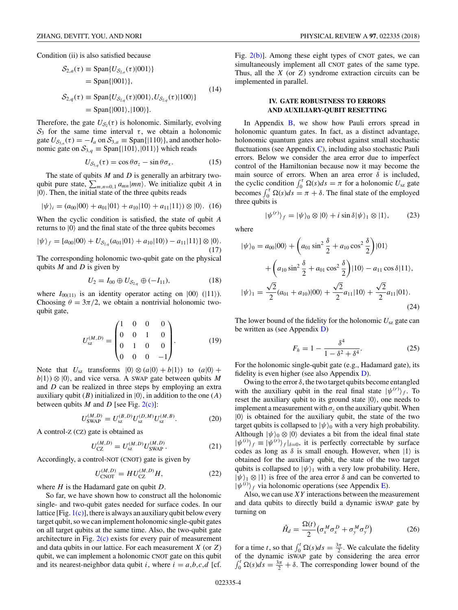Condition (ii) is also satisfied because

$$
S_{2,a}(\tau) \equiv \text{Span}\{U_{S_{2,a}}(\tau)|001\rangle\}
$$
  
= Span\{|001\rangle\},  

$$
S_{2,q}(\tau) \equiv \text{Span}\{U_{S_{2,q}}(\tau)|001\rangle, U_{S_{2,q}}(\tau)|100\rangle\}
$$
  
= Span\{|001\rangle,|100\rangle\}. (14)

Therefore, the gate  $U_{\mathcal{S}_2}(\tau)$  is holonomic. Similarly, evolving S<sub>3</sub> for the same time interval  $τ$ , we obtain a holonomic gate  $U_{\mathcal{S}_{3,a}}(\tau) = -I_a$  on  $\mathcal{S}_{3,a} \equiv$  Span $\{|110\rangle\}$ , and another holonomic gate on  $S_{3,q} \equiv$  Span $\{|101\rangle, |011\rangle\}$  which reads

$$
U_{\mathcal{S}_{3,q}}(\tau) = \cos \theta \sigma_z - \sin \theta \sigma_x. \tag{15}
$$

The state of qubits *M* and *D* is generally an arbitrary twoqubit pure state,  $\sum_{m,n=0,1} a_{mn} |mn\rangle$ . We initialize qubit *A* in  $|0\rangle$ . Then, the initial state of the three qubits reads

$$
|\psi\rangle_i = (a_{00}|00\rangle + a_{01}|01\rangle + a_{10}|10\rangle + a_{11}|11\rangle) \otimes |0\rangle. \tag{16}
$$

When the cyclic condition is satisfied, the state of qubit *A* returns to  $|0\rangle$  and the final state of the three qubits becomes

$$
|\psi\rangle_f = [a_{00}|00\rangle + U_{\mathcal{S}_{2,q}}(a_{01}|01\rangle + a_{10}|10\rangle) - a_{11}|11\rangle] \otimes |0\rangle.
$$
\n(17)

The corresponding holonomic two-qubit gate on the physical qubits *M* and *D* is given by

$$
U_2 = I_{00} \oplus U_{\mathcal{S}_{2,q}} \oplus (-I_{11}), \tag{18}
$$

where  $I_{00(11)}$  is an identity operator acting on  $|00\rangle$  ( $|11\rangle$ ). Choosing  $\theta = 3\pi/2$ , we obtain a nontrivial holonomic twoqubit gate,

$$
U_{sz}^{(M,D)} = \begin{pmatrix} 1 & 0 & 0 & 0 \\ 0 & 0 & 1 & 0 \\ 0 & 1 & 0 & 0 \\ 0 & 0 & 0 & -1 \end{pmatrix} . \tag{19}
$$

Note that  $U_{sz}$  transforms  $|0\rangle \otimes (a|0\rangle + b|1\rangle)$  to  $(a|0\rangle + b\rangle)$  $b(1) \otimes 0$ , and vice versa. A SWAP gate between qubits M and *D* can be realized in three steps by employing an extra auxiliary qubit (*B*) initialized in  $|0\rangle$ , in addition to the one (*A*) between qubits *M* and *D* [see Fig.  $2(c)$ ]:

$$
U_{\text{SWAP}}^{(M,D)} = U_{\text{sz}}^{(B,D)} U_{\text{sz}}^{(D,M)} U_{\text{sz}}^{(M,B)}.
$$
 (20)

A control-Z (CZ) gate is obtained as

$$
U_{\rm CZ}^{(M,D)} = U_{\rm sz}^{(M,D)} U_{\rm SWAP}^{(M,D)}.
$$
 (21)

Accordingly, a control-NOT (CNOT) gate is given by

$$
U_{\text{CNOT}}^{(M,D)} = H U_{\text{CZ}}^{(M,D)} H,\tag{22}
$$

where *H* is the Hadamard gate on qubit *D*.

So far, we have shown how to construct all the holonomic single- and two-qubit gates needed for surface codes. In our lattice [Fig. [1\(c\)\]](#page-1-0), there is always an auxiliary qubit below every target qubit, so we can implement holonomic single-qubit gates on all target qubits at the same time. Also, the two-qubit gate architecture in Fig.  $2(c)$  exists for every pair of measurement and data qubits in our lattice. For each measurement *X* (or *Z*) qubit, we can implement a holonomic CNOT gate on this qubit and its nearest-neighbor data qubit *i*, where  $i = a, b, c, d$  [cf.

Fig.  $2(b)$ ]. Among these eight types of CNOT gates, we can simultaneously implement all CNOT gates of the same type. Thus, all the *X* (or *Z*) syndrome extraction circuits can be implemented in parallel.

## **IV. GATE ROBUSTNESS TO ERRORS AND AUXILIARY-QUBIT RESETTING**

In Appendix  $\overline{B}$ , we show how Pauli errors spread in holonomic quantum gates. In fact, as a distinct advantage, holonomic quantum gates are robust against small stochastic fluctuations (see Appendix [C\)](#page-6-0), including also stochastic Pauli errors. Below we consider the area error due to imperfect control of the Hamiltonian because now it may become the main source of errors. When an area error  $\delta$  is included, the cyclic condition  $\int_0^{\tau} \Omega(s) ds = \pi$  for a holonomic  $U_{sz}$  gate becomes  $\int_0^{\tau} \Omega(s) ds = \pi + \delta$ . The final state of the employed three qubits is

$$
|\psi^{(r)}\rangle_f = |\psi\rangle_0 \otimes |0\rangle + i \sin \delta |\psi\rangle_1 \otimes |1\rangle, \tag{23}
$$

where

$$
|\psi\rangle_0 = a_{00}|00\rangle + \left(a_{01}\sin^2\frac{\delta}{2} + a_{10}\cos^2\frac{\delta}{2}\right)|01\rangle
$$
  
+ 
$$
\left(a_{10}\sin^2\frac{\delta}{2} + a_{01}\cos^2\frac{\delta}{2}\right)|10\rangle - a_{11}\cos\delta|11\rangle,
$$
  

$$
|\psi\rangle_1 = \frac{\sqrt{2}}{2}(a_{01} + a_{10})|00\rangle + \frac{\sqrt{2}}{2}a_{11}|10\rangle + \frac{\sqrt{2}}{2}a_{11}|01\rangle.
$$
 (24)

The lower bound of the fidelity for the holonomic *U*sz gate can be written as (see Appendix [D\)](#page-8-0)

$$
F_h = 1 - \frac{\delta^4}{1 - \delta^2 + \delta^4}.
$$
 (25)

For the holonomic single-qubit gate (e.g., Hadamard gate), its fidelity is even higher (see also Appendix  $D$ ).

Owing to the error *δ*, the two target qubits become entangled with the auxiliary qubit in the real final state  $|\psi^{(r)}\rangle_f$ . To reset the auxiliary qubit to its ground state  $|0\rangle$ , one needs to implement a measurement with  $\sigma_z$  on the auxiliary qubit. When  $|0\rangle$  is obtained for the auxiliary qubit, the state of the two target qubits is collapsed to  $|\psi\rangle_0$  with a very high probability. Although  $|\psi\rangle_0 \otimes |0\rangle$  deviates a bit from the ideal final state  $|\psi^{(i)}\rangle_f \equiv |\psi^{(r)}\rangle_f|_{\delta=0}$ , it is perfectly correctable by surface codes as long as  $\delta$  is small enough. However, when  $|1\rangle$  is obtained for the auxiliary qubit, the state of the two target qubits is collapsed to  $|\psi\rangle_1$  with a very low probability. Here,  $|\psi\rangle_1 \otimes |1\rangle$  is free of the area error  $\delta$  and can be converted to  $|\psi^{(i)}\rangle_f$  via holonomic operations (see Appendix [E\)](#page-9-0).

Also, we can use *XY* interactions between the measurement and data qubits to directly build a dynamic iSWAP gate by turning on

$$
\hat{H}_d = \frac{\Omega(t)}{2} \left( \sigma_x^M \sigma_x^D + \sigma_y^M \sigma_y^D \right) \tag{26}
$$

for a time *t*, so that  $\int_0^t \Omega(s) ds = \frac{3\pi}{2}$ . We calculate the fidelity of the dynamic iSWAP gate by considering the area error  $\int_0^t \Omega(s) ds = \frac{3\pi}{2} + \delta$ . The corresponding lower bound of the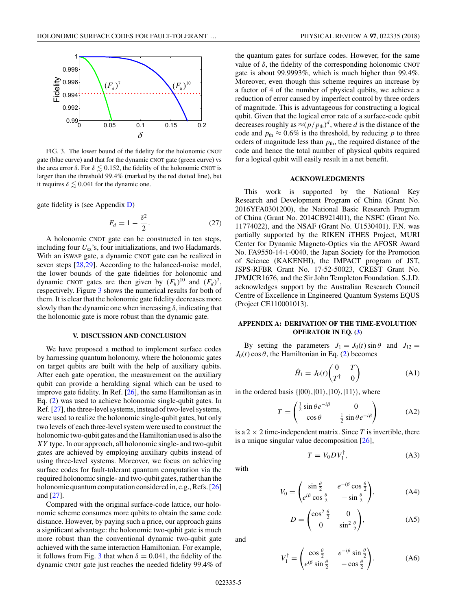<span id="page-4-0"></span>

FIG. 3. The lower bound of the fidelity for the holonomic CNOT gate (blue curve) and that for the dynamic CNOT gate (green curve) vs the area error  $\delta$ . For  $\delta \lesssim 0.152$ , the fidelity of the holonomic CNOT is larger than the threshold 99*.*4% (marked by the red dotted line), but it requires  $\delta \lesssim 0.041$  for the dynamic one.

gate fidelity is (see Appendix [D\)](#page-8-0)

$$
F_d = 1 - \frac{\delta^2}{2}.\tag{27}
$$

A holonomic CNOT gate can be constructed in ten steps, including four *U*sz's, four initializations, and two Hadamards. With an iSWAP gate, a dynamic CNOT gate can be realized in seven steps [\[28,29\]](#page-12-0). According to the balanced-noise model, the lower bounds of the gate fidelities for holonomic and dynamic CNOT gates are then given by  $(F_h)^{10}$  and  $(F_d)^7$ , respectively. Figure 3 shows the numerical results for both of them. It is clear that the holonomic gate fidelity decreases more slowly than the dynamic one when increasing *δ*, indicating that the holonomic gate is more robust than the dynamic gate.

### **V. DISCUSSION AND CONCLUSION**

We have proposed a method to implement surface codes by harnessing quantum holonomy, where the holonomic gates on target qubits are built with the help of auxiliary qubits. After each gate operation, the measurement on the auxiliary qubit can provide a heralding signal which can be used to improve gate fidelity. In Ref. [\[26\]](#page-12-0), the same Hamiltonian as in Eq. [\(2\)](#page-1-0) was used to achieve holonomic single-qubit gates. In Ref. [\[27\]](#page-12-0), the three-level systems, instead of two-level systems, were used to realize the holonomic single-qubit gates, but only two levels of each three-level system were used to construct the holonomic two-qubit gates and the Hamiltonian used is also the *XY* type. In our approach, all holonomic single- and two-qubit gates are achieved by employing auxiliary qubits instead of using three-level systems. Moreover, we focus on achieving surface codes for fault-tolerant quantum computation via the required holonomic single- and two-qubit gates, rather than the holonomic quantum computation considered in, e.g., Refs. [\[26\]](#page-12-0) and [\[27\]](#page-12-0).

Compared with the original surface-code lattice, our holonomic scheme consumes more qubits to obtain the same code distance. However, by paying such a price, our approach gains a significant advantage: the holonomic two-qubit gate is much more robust than the conventional dynamic two-qubit gate achieved with the same interaction Hamiltonian. For example, it follows from Fig. 3 that when  $\delta = 0.041$ , the fidelity of the dynamic CNOT gate just reaches the needed fidelity 99*.*4% of

the quantum gates for surface codes. However, for the same value of *δ*, the fidelity of the corresponding holonomic CNOT gate is about 99*.*9993%, which is much higher than 99*.*4%. Moreover, even though this scheme requires an increase by a factor of 4 of the number of physical qubits, we achieve a reduction of error caused by imperfect control by three orders of magnitude. This is advantageous for constructing a logical qubit. Given that the logical error rate of a surface-code qubit decreases roughly as  $\approx (p/p_{\text{th}})^d$ , where *d* is the distance of the code and  $p_{\text{th}} \approx 0.6\%$  is the threshold, by reducing p to three orders of magnitude less than  $p_{th}$ , the required distance of the code and hence the total number of physical qubits required for a logical qubit will easily result in a net benefit.

### **ACKNOWLEDGMENTS**

This work is supported by the National Key Research and Development Program of China (Grant No. 2016YFA0301200), the National Basic Research Program of China (Grant No. 2014CB921401), the NSFC (Grant No. 11774022), and the NSAF (Grant No. U1530401). F.N. was partially supported by the RIKEN iTHES Project, MURI Center for Dynamic Magneto-Optics via the AFOSR Award No. FA9550-14-1-0040, the Japan Society for the Promotion of Science (KAKENHI), the IMPACT program of JST, JSPS-RFBR Grant No. 17-52-50023, CREST Grant No. JPMJCR1676, and the Sir John Templeton Foundation. S.J.D. acknowledges support by the Australian Research Council Centre of Excellence in Engineered Quantum Systems EQUS (Project CE110001013).

## **APPENDIX A: DERIVATION OF THE TIME-EVOLUTION OPERATOR IN EQ. [\(3\)](#page-2-0)**

By setting the parameters  $J_1 = J_0(t) \sin \theta$  and  $J_{12} =$  $J_0(t)$  cos  $\theta$ , the Hamiltonian in Eq. [\(2\)](#page-1-0) becomes

$$
\hat{H}_1 = J_0(t) \begin{pmatrix} 0 & T \\ T^{\dagger} & 0 \end{pmatrix} \tag{A1}
$$

in the ordered basis  $\{|00\rangle, |01\rangle, |10\rangle, |11\rangle\}$ , where

$$
T = \begin{pmatrix} \frac{1}{2}\sin\theta e^{-i\beta} & 0\\ \cos\theta & \frac{1}{2}\sin\theta e^{-i\beta} \end{pmatrix}
$$
 (A2)

is a  $2 \times 2$  time-independent matrix. Since *T* is invertible, there is a unique singular value decomposition [\[26\]](#page-12-0),

$$
T = V_0 D V_1^{\dagger}, \tag{A3}
$$

with

$$
V_0 = \begin{pmatrix} \sin\frac{\theta}{2} & e^{-i\beta}\cos\frac{\theta}{2} \\ e^{i\beta}\cos\frac{\theta}{2} & -\sin\frac{\theta}{2} \end{pmatrix},
$$
 (A4)

$$
D = \begin{pmatrix} \cos^2 \frac{\theta}{2} & 0\\ 0 & \sin^2 \frac{\theta}{2} \end{pmatrix},\tag{A5}
$$

and

$$
V_1^{\dagger} = \begin{pmatrix} \cos\frac{\theta}{2} & e^{-i\beta}\sin\frac{\theta}{2} \\ e^{i\beta}\sin\frac{\theta}{2} & -\cos\frac{\theta}{2} \end{pmatrix}.
$$
 (A6)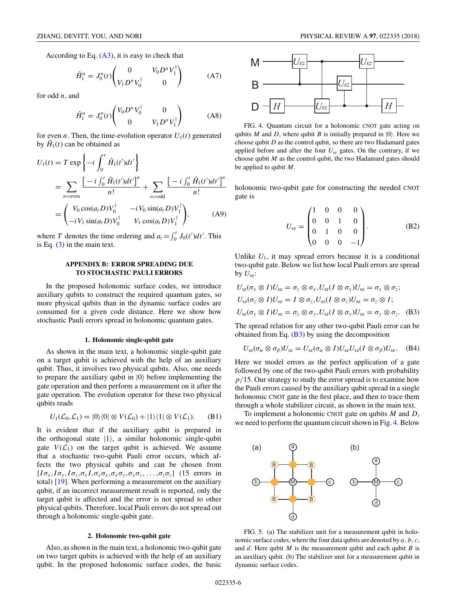<span id="page-5-0"></span>According to Eq.  $(A3)$ , it is easy to check that

$$
\hat{H}_1^n = J_0^n(t) \begin{pmatrix} 0 & V_0 D^n V_1^\dagger \\ V_1 D^n V_0^\dagger & 0 \end{pmatrix} \tag{A7}
$$

for odd *n*, and

$$
\hat{H}_1^n = J_0^n(t) \begin{pmatrix} V_0 D^n V_0^\dagger & 0 \\ 0 & V_1 D^n V_1^\dagger \end{pmatrix} \tag{A8}
$$

for even *n*. Then, the time-evolution operator  $U_1(t)$  generated by  $\hat{H}_1(t)$  can be obtained as

$$
U_1(t) = T \exp \left\{ -i \int_0^t \hat{H}_1(t')dt' \right\}
$$
  
= 
$$
\sum_{n=\text{even}} \frac{\left[ -i \int_0^t \hat{H}_1(t')dt' \right]^n}{n!} + \sum_{n=\text{odd}} \frac{\left[ -i \int_0^t \hat{H}_1(t')dt' \right]^n}{n!}
$$
  
= 
$$
\begin{pmatrix} V_0 \cos(a_t D) V_0^\dagger & -i V_0 \sin(a_t D) V_1^\dagger \\ -i V_1 \sin(a_t D) V_0^\dagger & V_1 \cos(a_t D) V_1^\dagger \end{pmatrix},
$$
 (A9)

where *T* denotes the time ordering and  $a_t = \int_0^t J_0(t')dt'$ . This is Eq.  $(3)$  in the main text.

### **APPENDIX B: ERROR SPREADING DUE TO STOCHASTIC PAULI ERRORS**

In the proposed holonomic surface codes, we introduce auxiliary qubits to construct the required quantum gates, so more physical qubits than in the dynamic surface codes are consumed for a given code distance. Here we show how stochastic Pauli errors spread in holonomic quantum gates.

#### **1. Holonomic single-qubit gate**

As shown in the main text, a holonomic single-qubit gate on a target qubit is achieved with the help of an auxiliary qubit. Thus, it involves two physical qubits. Also, one needs to prepare the auxiliary qubit in  $|0\rangle$  before implementing the gate operation and then perform a measurement on it after the gate operation. The evolution operator for these two physical qubits reads

$$
U_1(\mathcal{L}_0, \mathcal{L}_1) = |0\rangle\langle 0| \otimes V(\mathcal{L}_0) + |1\rangle\langle 1| \otimes V(\mathcal{L}_1). \qquad (B1)
$$

It is evident that if the auxiliary qubit is prepared in the orthogonal state  $|1\rangle$ , a similar holonomic single-qubit gate  $V(\mathcal{L}_1)$  on the target qubit is achieved. We assume that a stochastic two-qubit Pauli error occurs, which affects the two physical qubits and can be chosen from  $\{I\sigma_x, I\sigma_y, I\sigma_z, \sigma_x I, \sigma_x \sigma_x, \sigma_x \sigma_y, \sigma_x \sigma_z, \ldots, \sigma_z \sigma_z\}$  (15 errors in total) [\[19\]](#page-12-0). When performing a measurement on the auxiliary qubit, if an incorrect measurement result is reported, only the target qubit is affected and the error is not spread to other physical qubits. Therefore, local Pauli errors do not spread out through a holonomic single-qubit gate.

#### **2. Holonomic two-qubit gate**

Also, as shown in the main text, a holonomic two-qubit gate on two target qubits is achieved with the help of an auxiliary qubit. In the proposed holonomic surface codes, the basic



FIG. 4. Quantum circuit for a holonomic CNOT gate acting on qubits *M* and *D*, where qubit *B* is initially prepared in  $|0\rangle$ . Here we choose qubit *D* as the control qubit, so there are two Hadamard gates applied before and after the four  $U_{sz}$  gates. On the contrary, if we choose qubit *M* as the control qubit, the two Hadamard gates should be applied to qubit *M*.

holonomic two-qubit gate for constructing the needed CNOT gate is

$$
U_{sz} = \begin{pmatrix} 1 & 0 & 0 & 0 \\ 0 & 0 & 1 & 0 \\ 0 & 1 & 0 & 0 \\ 0 & 0 & 0 & -1 \end{pmatrix}.
$$
 (B2)

Unlike  $U_1$ , it may spread errors because it is a conditional two-qubit gate. Below we list how local Pauli errors are spread by  $U_{\text{sz}}$ :

$$
U_{sz}(\sigma_x \otimes I)U_{sz} = \sigma_z \otimes \sigma_x, U_{sz}(I \otimes \sigma_x)U_{sz} = \sigma_x \otimes \sigma_z;
$$
  
\n
$$
U_{sz}(\sigma_z \otimes I)U_{sz} = I \otimes \sigma_z, U_{sz}(I \otimes \sigma_z)U_{sz} = \sigma_z \otimes I;
$$
  
\n
$$
U_{sz}(\sigma_y \otimes I)U_{sz} = \sigma_z \otimes \sigma_y, U_{sz}(I \otimes \sigma_y)U_{sz} = \sigma_y \otimes \sigma_z.
$$
 (B3)

The spread relation for any other two-qubit Pauli error can be obtained from Eq.  $(B3)$  by using the decomposition

$$
U_{sz}(\sigma_{\alpha} \otimes \sigma_{\beta})U_{sz} = U_{sz}(\sigma_{\alpha} \otimes I)U_{sz}U_{sz}(I \otimes \sigma_{\beta})U_{sz}.
$$
 (B4)

Here we model errors as the perfect application of a gate followed by one of the two-qubit Pauli errors with probability *p/*15. Our strategy to study the error spread is to examine how the Pauli errors caused by the auxiliary qubit spread in a single holonomic CNOT gate in the first place, and then to trace them through a whole stabilizer circuit, as shown in the main text.

To implement a holonomic CNOT gate on qubits *M* and *D*, we need to perform the quantum circuit shown in Fig. 4. Below



FIG. 5. (a) The stabilizer unit for a measurement qubit in holonomic surface codes, where the four data qubits are denoted by *a, b, c*, and *d*. Here qubit *M* is the measurement qubit and each qubit *B* is an auxiliary qubit. (b) The stabilizer unit for a measurement qubit in dynamic surface codes.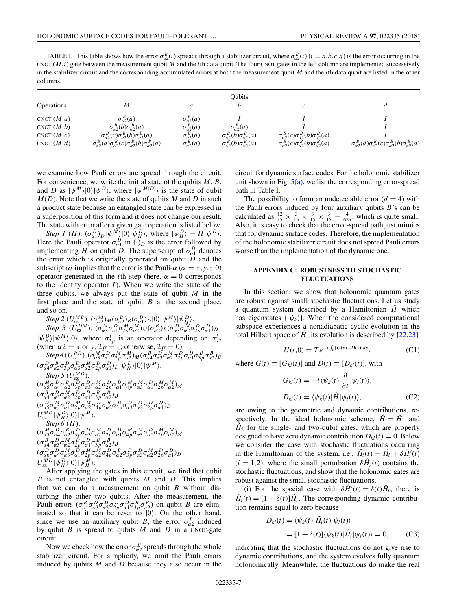<span id="page-6-0"></span>TABLE I. This table shows how the error  $\sigma_{\alpha2}^B(i)$  spreads through a stabilizer circuit, where  $\sigma_{\alpha2}^B(i)$  ( $i = a, b, c, d$ ) is the error occurring in the CNOT (*M,i*) gate between the measurement qubit *M* and the *i*th data qubit. The four CNOT gates in the left column are implemented successively in the stabilizer circuit and the corresponding accumulated errors at both the measurement qubit *M* and the *i*th data qubit are listed in the other columns.

|                   | Oubits                                                                                   |                        |                                            |                                                                      |                                                                                    |
|-------------------|------------------------------------------------------------------------------------------|------------------------|--------------------------------------------|----------------------------------------------------------------------|------------------------------------------------------------------------------------|
| <b>Operations</b> | M                                                                                        | a                      |                                            | c                                                                    |                                                                                    |
| CNOT $(M,a)$      | $\sigma_{\alpha}^B(a)$                                                                   | $\sigma_{\alpha}^B(a)$ |                                            |                                                                      |                                                                                    |
| CNOT $(M,b)$      | $\sigma_{\alpha}^B(b)\sigma_{\alpha}^B(a)$                                               | $\sigma_{\alpha}^B(a)$ | $\sigma_{\alpha}^B(a)$                     |                                                                      |                                                                                    |
| CNOT $(M, c)$     | $\sigma_{\alpha}^B(c)\sigma_{\alpha}^B(b)\sigma_{\alpha}^B(a)$                           | $\sigma_{\alpha}^B(a)$ | $\sigma_{\alpha}^B(b)\sigma_{\alpha}^B(a)$ | $\sigma_{\alpha}^{B}(c)\sigma_{\alpha}^{B}(b)\sigma_{\alpha}^{B}(a)$ |                                                                                    |
| CNOT $(M,d)$      | $\sigma_{\alpha}^B(d)\sigma_{\alpha 2}^B(c)\sigma_{\alpha 2}^B(b)\sigma_{\alpha 2}^B(a)$ | $\sigma_{\alpha}^B(a)$ | $\sigma_{\alpha}^B(b)\sigma_{\alpha}^B(a)$ | $\sigma_{\alpha}^{B}(c)\sigma_{\alpha}^{B}(b)\sigma_{\alpha}^{B}(a)$ | $\sigma_{\alpha}^B(d)\sigma_{\alpha}^B(c)\sigma_{\alpha}^B(b)\sigma_{\alpha}^B(a)$ |

we examine how Pauli errors are spread through the circuit. For convenience, we write the initial state of the qubits  $M, B$ , and *D* as  $|\psi^M\rangle|0\rangle|\psi^D\rangle$ , where  $|\psi^{M(D)}\rangle$  is the state of qubit  $M(D)$ . Note that we write the state of qubits  $M$  and  $D$  in such a product state because an entangled state can be expressed in a superposition of this form and it does not change our result. The state with error after a given gate operation is listed below.

*Step 1* (*H*).  $(\sigma_{\alpha 1}^D)_D |\psi^M\rangle|0\rangle|\psi_H^D\rangle$ , where  $|\psi_H^D\rangle = H |\psi^D\rangle$ . Here the Pauli operator  $\sigma_{\alpha 1}^D$  in  $\left(\cdot\right)_D$  is the error followed by implementing *H* on qubit *D*. The superscript of  $\sigma_{\alpha 1}^D$  denotes the error which is originally generated on qubit  $\ddot{D}$  and the subscript  $\alpha i$  implies that the error is the Pauli- $\alpha$  ( $\alpha = x, y, z, 0$ ) operator generated in the *i*th step (here,  $\alpha = 0$  corresponds to the identity operator  $I$ ). When we write the state of the three qubits, we always put the state of qubit *M* in the first place and the state of qubit *B* at the second place, and so on.

 $Step 2 (U_{sz}^{MB})$ .  $(\sigma_{\alpha 2}^{M})_{M} (\sigma_{\alpha 2}^{B})_{B} (\sigma_{\alpha 1}^{D})_{D} |0\rangle | \psi^{M} \rangle | \psi_{H}^{D}$ . Step 3 ( $\overline{U}_{SZ}^{DM}$ ).  $(\overline{\sigma}_{\alpha 3}^{M} \sigma_{\alpha 1}^{D} \overline{\sigma}_{2p}^{M} \sigma_{\alpha 2}^{M})_{M} (\sigma_{\alpha 2}^{B})_{B} (\sigma_{\alpha 3}^{D} \sigma_{\alpha 2}^{M} \sigma_{2p}^{D} \sigma_{\alpha 1}^{D})_{D}$  $|\psi_H^D\rangle|\psi^M\rangle|0\rangle$ , where  $\sigma_{2p}^i$  is an operator depending on  $\sigma_{\alpha2}^i$ (when  $\alpha$ 2 = *x* or *y*, 2*p* = *z*; otherwise, 2*p* = 0).  $Step~4(U_{sz}^{BD}) . (\sigma_{\alpha3}^{M}\sigma_{\alpha1}^{D}\sigma_{\alpha2}^{M}\sigma_{\alpha2}^{M})_{M} (\sigma_{\alpha4}^{B}\sigma_{\alpha3}^{D}\sigma_{\alpha2}^{M}\sigma_{2p}^{D}\sigma_{\alpha1}^{D}\sigma_{3p}^{B}\sigma_{\alpha2}^{B})_{B}$  $(\sigma^D_{\alpha 4}\sigma^B_{\alpha 2}\sigma^D_{3p}\sigma^D_{\alpha 3}\sigma^M_{\alpha 2}\sigma^D_{2p}\sigma^D_{\alpha 1})_{D}|\psi^D_H\rangle|0\rangle|\psi^M\rangle.$ *Step 5*  $(U_{sz}^{MD})$ .  $(\sigma^M_{\alpha 5} \sigma^D_{\alpha 4} \sigma^B_{\alpha 2} \sigma^{\overline{D}}_{3p} \sigma^D_{\alpha 3} \sigma^M_{\alpha 2} \sigma^D_{2p} \sigma^D_{\alpha 1} \sigma^M_{4p} \sigma^M_{\alpha 3} \sigma^D_{\alpha 1} \sigma^M_{2p} \sigma^M_{\alpha 2})_M$  $(\sigma_{\alpha4}^B \sigma_{\alpha3}^D \sigma_{\alpha2}^M \sigma_{2p}^D \sigma_{\alpha1}^D \sigma_{3p}^B \sigma_{\alpha2}^B)_B$  $(\sigma^D_{\alpha 5}\sigma^M_{\alpha 3}\sigma^D_{\alpha 1}\sigma^M_{2p}\sigma^M_{\alpha 2}\sigma^D_{4p}\sigma^B_{\alpha 2}\sigma^D_{3p}\sigma^D_{\alpha 3}\sigma^M_{\alpha 2}\sigma^D_{2p}\sigma^D_{\alpha 1})_D$  $U_{\rm sz}^{MD} |\psi_H^D\rangle|0\rangle|\psi^M\rangle.$ *Step 6* (*H*).  $(\sigma^M_{\alpha 5} \sigma^D_{\alpha 4} \sigma^B_{\alpha 2} \sigma^D_{3p} \sigma^D_{\alpha 3} \sigma^M_{\alpha 2} \sigma^D_{2p} \sigma^D_{\alpha 1} \sigma^M_{4p} \sigma^M_{\alpha 3} \sigma^D_{\alpha 1} \sigma^M_{2p} \sigma^M_{\alpha 2})_M$  $(\sigma_{\alpha4}^B \sigma_{\alpha3}^D \sigma_{\alpha2}^M \sigma_{2p}^D \sigma_{\alpha1}^D \sigma_{3p}^B \sigma_{\alpha2}^B)_B$  $(\sigma^D_{\alpha\delta}\sigma^D_{\alpha\delta}\sigma^M_{\alpha\delta}\sigma^D_{\alpha\ell}\sigma^M_{2p}\sigma^M_{\alpha2}\sigma^D_{4p}\sigma^B_{\alpha2}\sigma^D_{3p}\sigma^D_{\alpha3}\sigma^M_{\alpha2}\sigma^D_{2p}\sigma^D_{\alpha1})_D$  $U_{\rm sz}^{MD} |\psi_H^D\rangle|0\rangle|\psi_H^M\rangle.$ 

After applying the gates in this circuit, we find that qubit *B* is not entangled with qubits *M* and *D*. This implies that we can do a measurement on qubit *B* without disturbing the other two qubits. After the measurement, the Pauli errors  $(\sigma_{\alpha 4}^B \sigma_{\alpha 3}^D \sigma_{\alpha 2}^M \sigma_{2p}^D \sigma_{\alpha 1}^D \sigma_{3p}^B \sigma_{\alpha 2}^B)$  on qubit *B* are eliminated so that it can be reset to  $|0\rangle$ . On the other hand, since we use an auxiliary qubit *B*, the error  $\sigma_{\alpha}^B$  induced by qubit *B* is spread to qubits *M* and *D* in a CNOT-gate circuit.

Now we check how the error  $\sigma_{\alpha}^B$  spreads through the whole stabilizer circuit. For simplicity, we omit the Pauli errors induced by qubits *M* and *D* because they also occur in the circuit for dynamic surface codes. For the holonomic stabilizer unit shown in Fig.  $5(a)$ , we list the corresponding error-spread path in Table I.

The possibility to form an undetectable error  $(d = 4)$  with the Pauli errors induced by four auxiliary qubits *B*'s can be calculated as  $\frac{12}{15} \times \frac{3}{15} \times \frac{3}{15} \times \frac{3}{15} = \frac{4}{625}$ , which is quite small. Also, it is easy to check that the error-spread path just mimics that for dynamic surface codes. Therefore, the implementation of the holonomic stabilizer circuit does not spread Pauli errors worse than the implementation of the dynamic one.

### **APPENDIX C: ROBUSTNESS TO STOCHASTIC FLUCTUATIONS**

In this section, we show that holonomic quantum gates are robust against small stochastic fluctuations. Let us study a quantum system described by a Hamiltonian  $\hat{H}$  which has eigenstates  $\{|\psi_k\rangle\}$ . When the considered computational subspace experiences a nonadiabatic cyclic evolution in the total Hilbert space of  $\hat{H}$ , its evolution is described by [\[22,23\]](#page-12-0)

$$
U(t,0) = T e^{-i \int_0^t [G(s) + D(s)] ds}, \tag{C1}
$$

where  $G(t) \equiv [G_{kl}(t)]$  and  $D(t) \equiv [D_{kl}(t)]$ , with

$$
G_{kl}(t) = -i \langle \psi_k(t) | \frac{\partial}{\partial t} | \psi_l(t) \rangle,
$$
  

$$
D_{kl}(t) = \langle \psi_k(t) | \hat{H} | \psi_l(t) \rangle,
$$
 (C2)

are owing to the geometric and dynamic contributions, respectively. In the ideal holonomic scheme,  $\hat{H} = \hat{H}_1$  and  $\hat{H}_2$  for the single- and two-qubit gates, which are properly designed to have zero dynamic contribution  $D_{kl}(t) = 0$ . Below we consider the case with stochastic fluctuations occurring in the Hamiltonian of the system, i.e.,  $\tilde{H}_i(t) = \hat{H}_i + \delta \hat{H}'_i(t)$  $(i = 1,2)$ , where the small perturbation  $\delta \hat{H}'_i(t)$  contains the stochastic fluctuations, and show that the holonomic gates are robust against the small stochastic fluctuations.

(i) For the special case with  $\delta \hat{H}'_i(t) = \delta(t) \hat{H}_i$ , there is  $\tilde{H}_i(t) = [1 + \delta(t)] \hat{H}_i$ . The corresponding dynamic contribution remains equal to zero because

$$
D_{kl}(t) = \langle \psi_k(t) | \tilde{H}_i(t) | \psi_l(t) \rangle
$$
  
=  $[1 + \delta(t)] \langle \psi_k(t) | \hat{H}_i | \psi_i(t) \rangle = 0,$  (C3)

indicating that the stochastic fluctuations do not give rise to dynamic contributions, and the system evolves fully quantum holonomically. Meanwhile, the fluctuations do make the real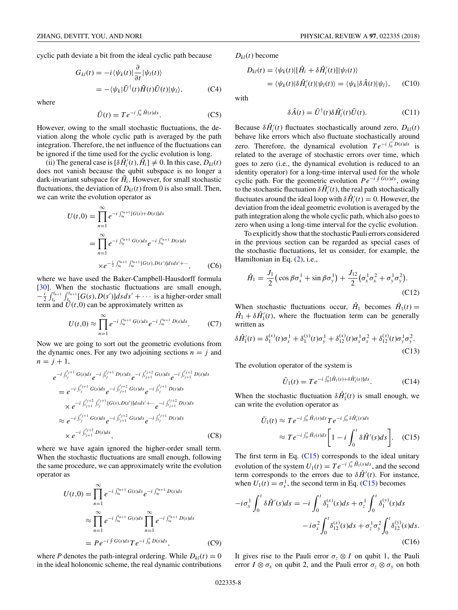cyclic path deviate a bit from the ideal cyclic path because

$$
G_{kl}(t) = -i \langle \psi_k(t) | \frac{\partial}{\partial t} | \psi_l(t) \rangle
$$
  
=  $-\langle \psi_k | \tilde{U}^\dagger(t) \tilde{H}(t) \tilde{U}(t) | \psi_l \rangle$ , (C4)

where

$$
\tilde{U}(t) = Te^{-i\int_0^t \tilde{H}(s)ds}.
$$
 (C5)

However, owing to the small stochastic fluctuations, the deviation along the whole cyclic path is averaged by the path integration. Therefore, the net influence of the fluctuations can be ignored if the time used for the cyclic evolution is long.

 $(iii)$  The general case is  $[\delta \hat{H}'_i(t), \hat{H}_i] \neq 0$ . In this case,  $D_{kl}(t)$ does not vanish because the qubit subspace is no longer a dark-invariant subspace for  $\tilde{H}_i$ . However, for small stochastic fluctuations, the deviation of  $D_{kl}(t)$  from 0 is also small. Then, we can write the evolution operator as

$$
U(t,0) = \prod_{n=1}^{\infty} e^{-i \int_{t_n}^{t_{n+1}} [G(s) + D(s)]ds}
$$
  
= 
$$
\prod_{n=1}^{\infty} e^{-i \int_{t_n}^{t_{n+1}} G(s)ds} e^{-i \int_{t_n}^{t_{n+1}} D(s)ds}
$$
  

$$
\times e^{-\frac{i}{2} \int_{t_n}^{t_{n+1}} \int_{t_n}^{t_{n+1}} [G(s), D(s')]dsds' + \cdots}, \qquad (C6)
$$

where we have used the Baker-Campbell-Hausdorff formula [\[30\]](#page-12-0). When the stochastic fluctuations are small enough,  $-\frac{i}{2} \int_{t_n}^{t_{n+1}} \int_{t_n}^{t_{n+1}} [G(s), D(s')] ds ds' + \cdots$  is a higher-order small term and  $\ddot{U}(t,0)$  can be approximately written as

$$
U(t,0) \approx \prod_{n=1}^{\infty} e^{-i \int_{t_n}^{t_{n+1}} G(s)ds} e^{-i \int_{t_n}^{t_{n+1}} D(s)ds}.
$$
 (C7)

Now we are going to sort out the geometric evolutions from the dynamic ones. For any two adjoining sections  $n = j$  and  $n = j + 1$ ,

$$
e^{-i \int_{t_j}^{t_{j+1}} G(s) ds} e^{-i \int_{t_j}^{t_{j+1}} D(s) ds} e^{-i \int_{t_{j+1}}^{t_{j+2}} G(s) ds} e^{-i \int_{t_{j+1}}^{t_{j+2}} D(s) ds}
$$
  
\n
$$
= e^{-i \int_{t_j}^{t_j+1} G(s) ds} e^{-i \int_{t_{j+1}}^{t_j+2} G(s) ds} e^{-i \int_{t_j}^{t_j+1} D(s) ds}
$$
  
\n
$$
\times e^{-i \int_{t_j+1}^{t_{j+2}} \int_{t_j}^{t_j+1} [G(s), D(s')] ds ds' + \cdots e^{-i \int_{t_j+1}^{t_j+2} D(s) ds}
$$
  
\n
$$
\approx e^{-i \int_{t_j}^{t_j+1} G(s) ds} e^{-i \int_{t_j+1}^{t_j+2} G(s) ds} e^{-i \int_{t_j}^{t_j+1} D(s) ds}
$$
  
\n
$$
\times e^{-i \int_{t_j+1}^{t_j+2} D(s) ds},
$$
\n(C8)

where we have again ignored the higher-order small term. When the stochastic fluctuations are small enough, following the same procedure, we can approximately write the evolution operator as

$$
U(t,0) = \prod_{n=1}^{\infty} e^{-i \int_{t_n}^{t_{n+1}} G(s)ds} e^{-i \int_{t_n}^{t_{n+1}} D(s)ds}
$$
  

$$
\approx \prod_{n=1}^{\infty} e^{-i \int_{t_n}^{t_{n+1}} G(s)ds} \prod_{n=1}^{\infty} e^{-i \int_{t_n}^{t_{n+1}} D(s)ds}
$$
  

$$
= Pe^{-i \oint G(s)ds} T e^{-i \int_{0}^{t} D(s)ds}, \qquad (C9)
$$

where *P* denotes the path-integral ordering. While  $D_{kl}(t) = 0$ in the ideal holonomic scheme, the real dynamic contributions

 $D_{kl}(t)$  become

$$
D_{kl}(t) = \langle \psi_k(t) | [\hat{H}_i + \delta \hat{H}'_i(t)] | \psi_l(t) \rangle
$$
  
=  $\langle \psi_k(t) | \delta \hat{H}'_i(t) | \psi_l(t) \rangle = \langle \psi_k | \delta \hat{A}(t) | \psi_l \rangle,$  (C10)

with

$$
\delta \hat{A}(t) = \tilde{U}^{\dagger}(t) \delta \hat{H}'_i(t) \tilde{U}(t). \tag{C11}
$$

Because  $\delta \hat{H}'_i(t)$  fluctuates stochastically around zero,  $D_{kl}(t)$ behave like errors which also fluctuate stochastically around zero. Therefore, the dynamical evolution  $Te^{-i \int_0^t D(s) ds}$  is related to the average of stochastic errors over time, which goes to zero (i.e., the dynamical evolution is reduced to an identity operator) for a long-time interval used for the whole cyclic path. For the geometric evolution  $Pe^{-i \oint G(s)ds}$ , owing to the stochastic fluctuation  $\delta \hat{H}'_i(t)$ , the real path stochastically fluctuates around the ideal loop with  $\delta \hat{H}'_i(t) = 0$ . However, the deviation from the ideal geometric evolution is averaged by the path integration along the whole cyclic path, which also goes to zero when using a long-time interval for the cyclic evolution.

To explicitly show that the stochastic Pauli errors considered in the previous section can be regarded as special cases of the stochastic fluctuations, let us consider, for example, the Hamiltonian in Eq. [\(2\)](#page-1-0), i.e.,

$$
\hat{H}_1 = \frac{J_1}{2} \left( \cos \beta \sigma_x^1 + \sin \beta \sigma_y^1 \right) + \frac{J_{12}}{2} \left( \sigma_x^1 \sigma_x^2 + \sigma_y^1 \sigma_y^2 \right).
$$
\n(C12)

When stochastic fluctuations occur,  $\hat{H}_1$  becomes  $\tilde{H}_1(t)$  =  $\hat{H}_1 + \delta \hat{H}'_1(t)$ , where the fluctuation term can be generally written as

$$
\delta \hat{H}'_1(t) = \delta_1^{(x)}(t)\sigma_x^1 + \delta_1^{(y)}(t)\sigma_y^1 + \delta_{12}^{(x)}(t)\sigma_x^1 \sigma_x^2 + \delta_{12}^{(y)}(t)\sigma_y^1 \sigma_y^2. \tag{C13}
$$

The evolution operator of the system is

$$
\tilde{U}_1(t) = T e^{-i \int_0^t [\hat{H}_1(s) + \delta \hat{H}_1'(s)] ds}.
$$
 (C14)

When the stochastic fluctuation  $\delta \hat{H}'_1(t)$  is small enough, we can write the evolution operator as

$$
\tilde{U}_1(t) \approx Te^{-i\int_0^t \hat{H}_1(s)ds}Te^{-i\int_0^t \delta \hat{H}_1'(s)ds}
$$
\n
$$
\approx Te^{-i\int_0^t \hat{H}_1(s)ds}\left[1-i\int_0^t \delta \hat{H}'(s)ds\right].
$$
\n(C15)

The first term in Eq. (C15) corresponds to the ideal unitary evolution of the system  $U_1(t) = Te^{-i \int_0^t \hat{H}_1(s)ds}$ , and the second term corresponds to the errors due to  $\delta \hat{H}'(t)$ . For instance, when  $U_1(t) = \sigma_x^1$ , the second term in Eq. (C15) becomes

$$
-i\sigma_x^1 \int_0^t \delta \hat{H}'(s) ds = -i \int_0^t \delta_1^{(x)}(s) ds + \sigma_z^1 \int_0^t \delta_1^{(y)}(s) ds -i\sigma_x^2 \int_0^t \delta_{12}^{(x)}(s) ds + \sigma_z^1 \sigma_y^2 \int_0^t \delta_{12}^{(y)}(s) ds.
$$
(C16)

It gives rise to the Pauli error  $\sigma_z \otimes I$  on qubit 1, the Pauli error  $I \otimes \sigma_x$  on qubit 2, and the Pauli error  $\sigma_z \otimes \sigma_y$  on both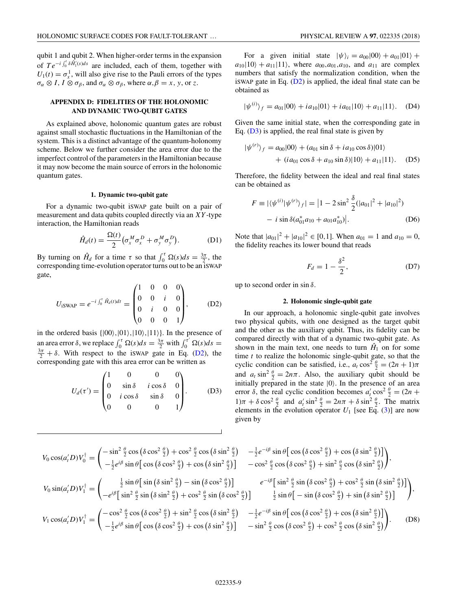<span id="page-8-0"></span>qubit 1 and qubit 2. When higher-order terms in the expansion of  $Te^{-i \int_0^t \delta \tilde{H_1}(s) ds}$  are included, each of them, together with  $U_1(t) = \sigma_x^1$ , will also give rise to the Pauli errors of the types  $\sigma_{\alpha} \otimes I$ ,  $I \otimes \sigma_{\beta}$ , and  $\sigma_{\alpha} \otimes \sigma_{\beta}$ , where  $\alpha, \beta = x$ , y, or *z*.

## **APPENDIX D: FIDELITIES OF THE HOLONOMIC AND DYNAMIC TWO-QUBIT GATES**

As explained above, holonomic quantum gates are robust against small stochastic fluctuations in the Hamiltonian of the system. This is a distinct advantage of the quantum-holonomy scheme. Below we further consider the area error due to the imperfect control of the parameters in the Hamiltonian because it may now become the main source of errors in the holonomic quantum gates.

#### **1. Dynamic two-qubit gate**

For a dynamic two-qubit iSWAP gate built on a pair of measurement and data qubits coupled directly via an *XY* -type interaction, the Hamiltonian reads

$$
\hat{H}_d(t) = \frac{\Omega(t)}{2} \left( \sigma_x^M \sigma_x^D + \sigma_y^M \sigma_y^D \right). \tag{D1}
$$

By turning on  $\hat{H}_d$  for a time *τ* so that  $\int_0^{\tau} \Omega(s) ds = \frac{3\pi}{2}$ , the corresponding time-evolution operator turns out to be an iSWAP gate,

$$
U_{\text{ISWAP}} = e^{-i \int_0^{\tau} \hat{H}_d(t)dt} = \begin{pmatrix} 1 & 0 & 0 & 0 \\ 0 & 0 & i & 0 \\ 0 & i & 0 & 0 \\ 0 & 0 & 0 & 1 \end{pmatrix}, \quad (D2)
$$

in the ordered basis  $\{|00\rangle, |01\rangle, |10\rangle, |11\rangle\}$ . In the presence of an area error  $\delta$ , we replace  $\int_0^{\tau} \Omega(s) ds = \frac{3\pi}{2}$  with  $\int_0^{\tau'} \Omega(s) ds =$ <br> $\frac{3\pi}{2} + \delta$  With respect to the is WAR gate in Eq. (D), the  $\frac{3\pi}{2} + \delta$ . With respect to the iswap gate in Eq. (D2), the corresponding gate with this area error can be written as

$$
U_d(\tau') = \begin{pmatrix} 1 & 0 & 0 & 0 \\ 0 & \sin \delta & i \cos \delta & 0 \\ 0 & i \cos \delta & \sin \delta & 0 \\ 0 & 0 & 0 & 1 \end{pmatrix}.
$$
 (D3)

For a given initial state  $|\psi\rangle_i = a_{00}|00\rangle + a_{01}|01\rangle +$  $a_{10}|10\rangle + a_{11}|11\rangle$ , where  $a_{00}, a_{01}, a_{10}$ , and  $a_{11}$  are complex numbers that satisfy the normalization condition, when the iswap gate in Eq.  $(D2)$  is applied, the ideal final state can be obtained as

$$
|\psi^{(i)}\rangle_f = a_{01}|00\rangle + ia_{10}|01\rangle + ia_{01}|10\rangle + a_{11}|11\rangle. \quad (D4)
$$

Given the same initial state, when the corresponding gate in Eq.  $(D3)$  is applied, the real final state is given by

$$
|\psi^{(r)}\rangle_f = a_{00}|00\rangle + (a_{01}\sin\delta + ia_{10}\cos\delta)|01\rangle
$$
  
+  $(ia_{01}\cos\delta + a_{10}\sin\delta)|10\rangle + a_{11}|11\rangle.$  (D5)

Therefore, the fidelity between the ideal and real final states can be obtained as

$$
F \equiv |\langle \psi^{(i)} | \psi^{(r)} \rangle_f| = |1 - 2 \sin^2 \frac{\delta}{2} (|a_{01}|^2 + |a_{10}|^2)
$$
  
-  $i \sin \delta (a_{01}^* a_{10} + a_{01} a_{10}^*)|.$  (D6)

Note that  $|a_{01}|^2 + |a_{10}|^2 \in [0,1]$ . When  $a_{01} = 1$  and  $a_{10} = 0$ , the fidelity reaches its lower bound that reads

$$
F_d = 1 - \frac{\delta^2}{2},\tag{D7}
$$

up to second order in sin *δ*.

#### **2. Holonomic single-qubit gate**

In our approach, a holonomic single-qubit gate involves two physical qubits, with one designed as the target qubit and the other as the auxiliary qubit. Thus, its fidelity can be compared directly with that of a dynamic two-qubit gate. As shown in the main text, one needs to turn  $\hat{H}_1$  on for some time *t* to realize the holonomic single-qubit gate, so that the cyclic condition can be satisfied, i.e.,  $a_t \cos^2 \frac{\theta}{2} = (2n + 1)\pi$ and  $a_t \sin^2 \frac{\theta}{2} = 2n\pi$ . Also, the auxiliary qubit should be initially prepared in the state  $|0\rangle$ . In the presence of an area error  $\delta$ , the real cyclic condition becomes  $a'_t \cos^2 \frac{\theta}{2} = (2n +$  $1)\pi + \delta \cos^2 \frac{\theta}{2}$  and  $a'_t \sin^2 \frac{\theta}{2} = 2n\pi + \delta \sin^2 \frac{\theta}{2}$ . The matrix elements in the evolution operator  $U_1$  [see Eq. [\(3\)](#page-2-0)] are now given by

$$
V_0 \cos(a'_t D) V_0^{\dagger} = \begin{pmatrix} -\sin^2 \frac{\theta}{2} \cos \left(\delta \cos^2 \frac{\theta}{2}\right) + \cos^2 \frac{\theta}{2} \cos \left(\delta \sin^2 \frac{\theta}{2}\right) & -\frac{1}{2} e^{-i\beta} \sin \theta \left[\cos \left(\delta \cos^2 \frac{\theta}{2}\right) + \cos \left(\delta \sin^2 \frac{\theta}{2}\right)\right] \\ -\frac{1}{2} e^{i\beta} \sin \theta \left[\cos \left(\delta \cos^2 \frac{\theta}{2}\right) + \cos \left(\delta \sin^2 \frac{\theta}{2}\right)\right] & -\cos^2 \frac{\theta}{2} \cos \left(\delta \cos^2 \frac{\theta}{2}\right) + \sin^2 \frac{\theta}{2} \cos \left(\delta \sin^2 \frac{\theta}{2}\right)\right],
$$
  
\n
$$
V_0 \sin(a'_t D) V_1^{\dagger} = \begin{pmatrix} \frac{1}{2} \sin \theta \left[\sin \left(\delta \sin^2 \frac{\theta}{2}\right) - \sin \left(\delta \cos^2 \frac{\theta}{2}\right)\right] & e^{-i\beta} \left[\sin^2 \frac{\theta}{2} \sin \left(\delta \cos^2 \frac{\theta}{2}\right) + \cos^2 \frac{\theta}{2} \sin \left(\delta \sin^2 \frac{\theta}{2}\right)\right],\\ -e^{i\beta} \left[\sin^2 \frac{\theta}{2} \sin \left(\delta \sin^2 \frac{\theta}{2}\right) + \cos^2 \frac{\theta}{2} \sin \left(\delta \cos^2 \frac{\theta}{2}\right)\right] & \frac{1}{2} \sin \theta \left[-\sin \left(\delta \cos^2 \frac{\theta}{2}\right) + \sin \left(\delta \sin^2 \frac{\theta}{2}\right)\right],\\ V_1 \cos(a'_t D) V_1^{\dagger} = \begin{pmatrix} -\cos^2 \frac{\theta}{2} \cos \left(\delta \cos^2 \frac{\theta}{2}\right) + \sin^2 \frac{\theta}{2} \cos \left(\delta \sin^2 \frac{\theta}{2}\right) & -\frac{1}{2} e^{-i\beta} \sin \theta \left[\cos \left(\delta \cos^2 \frac{\theta}{2}\right) + \cos \left(\delta \sin^2 \frac{\theta}{2}\right)\right],\\ -\frac{1}{2} e^{i\beta} \sin \theta \left[\cos \left(\delta \cos^2 \frac{\theta}{2}\right) +
$$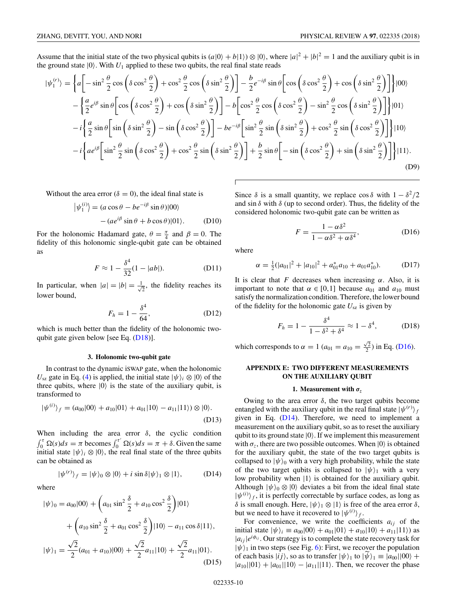<span id="page-9-0"></span>Assume that the initial state of the two physical qubits is  $(a|0\rangle + b|1\rangle) \otimes |0\rangle$ , where  $|a|^2 + |b|^2 = 1$  and the auxiliary qubit is in the ground state  $|0\rangle$ . With  $U_1$  applied to these two qubits, the real final state reads

$$
|\psi_{1}^{(r)}\rangle = \left\{ a \left[ -\sin^{2}\frac{\theta}{2}\cos\left(\delta\cos^{2}\frac{\theta}{2}\right) + \cos^{2}\frac{\theta}{2}\cos\left(\delta\sin^{2}\frac{\theta}{2}\right) \right] - \frac{b}{2}e^{-i\beta}\sin\theta \left[ \cos\left(\delta\cos^{2}\frac{\theta}{2}\right) + \cos\left(\delta\sin^{2}\frac{\theta}{2}\right) \right] \right\} |00\rangle
$$
  
 
$$
- \left\{ \frac{a}{2}e^{i\beta}\sin\theta \left[ \cos\left(\delta\cos^{2}\frac{\theta}{2}\right) + \cos\left(\delta\sin^{2}\frac{\theta}{2}\right) \right] - b \left[ \cos^{2}\frac{\theta}{2}\cos\left(\delta\cos^{2}\frac{\theta}{2}\right) - \sin^{2}\frac{\theta}{2}\cos\left(\delta\sin^{2}\frac{\theta}{2}\right) \right] \right\} |01\rangle
$$
  
 
$$
-i \left\{ \frac{a}{2}\sin\theta \left[ \sin\left(\delta\sin^{2}\frac{\theta}{2}\right) - \sin\left(\delta\cos^{2}\frac{\theta}{2}\right) \right] - be^{-i\beta} \left[ \sin^{2}\frac{\theta}{2}\sin\left(\delta\sin^{2}\frac{\theta}{2}\right) + \cos^{2}\frac{\theta}{2}\sin\left(\delta\cos^{2}\frac{\theta}{2}\right) \right] \right\} |10\rangle
$$
  
 
$$
-i \left\{ ae^{i\beta} \left[ \sin^{2}\frac{\theta}{2}\sin\left(\delta\cos^{2}\frac{\theta}{2}\right) + \cos^{2}\frac{\theta}{2}\sin\left(\delta\sin^{2}\frac{\theta}{2}\right) \right] + \frac{b}{2}\sin\theta \left[ -\sin\left(\delta\cos^{2}\frac{\theta}{2}\right) + \sin\left(\delta\sin^{2}\frac{\theta}{2}\right) \right] \right\} |11\rangle.
$$
  
(D9)

Without the area error ( $\delta = 0$ ), the ideal final state is

$$
\begin{aligned} \left| \psi_1^{(i)} \right\rangle &= (a\cos\theta - be^{-i\beta}\sin\theta)|00\rangle \\ &- (ae^{i\beta}\sin\theta + b\cos\theta)|01\rangle. \end{aligned} \tag{D10}
$$

For the holonomic Hadamard gate,  $\theta = \frac{\pi}{4}$  and  $\beta = 0$ . The fidelity of this holonomic single-qubit gate can be obtained as

$$
F \approx 1 - \frac{\delta^4}{32} (1 - |ab|).
$$
 (D11)

In particular, when  $|a|=|b|=\frac{1}{\sqrt{2}}$ , the fidelity reaches its lower bound,

$$
F_h = 1 - \frac{\delta^4}{64},\tag{D12}
$$

which is much better than the fidelity of the holonomic twoqubit gate given below [see Eq.  $(D18)$ ].

#### **3. Holonomic two-qubit gate**

In contrast to the dynamic iSWAP gate, when the holonomic  $U_{sz}$  gate in Eq. [\(4\)](#page-2-0) is applied, the initial state  $|\psi\rangle_i \otimes |0\rangle$  of the three qubits, where  $|0\rangle$  is the state of the auxiliary qubit, is transformed to

$$
|\psi^{(i)}\rangle_f = (a_{00}|00\rangle + a_{10}|01\rangle + a_{01}|10\rangle - a_{11}|11\rangle) \otimes |0\rangle.
$$
\n(D13)

When including the area error *δ*, the cyclic condition  $\int_0^{\tau} \Omega(s) ds = \pi$  becomes  $\int_0^{\tau'} \Omega(s) ds = \pi + \delta$ . Given the same initial state  $|\psi\rangle_i \otimes |0\rangle$ , the real final state of the three qubits can be obtained as

$$
|\psi^{(r)}\rangle_f = |\psi\rangle_0 \otimes |0\rangle + i \sin \delta |\psi\rangle_1 \otimes |1\rangle, \quad (D14)
$$

where

$$
|\psi\rangle_0 = a_{00}|00\rangle + \left(a_{01}\sin^2\frac{\delta}{2} + a_{10}\cos^2\frac{\delta}{2}\right)|01\rangle
$$
  
+ 
$$
\left(a_{10}\sin^2\frac{\delta}{2} + a_{01}\cos^2\frac{\delta}{2}\right)|10\rangle - a_{11}\cos\delta|11\rangle,
$$
  

$$
|\psi\rangle_1 = \frac{\sqrt{2}}{2}(a_{01} + a_{10})|00\rangle + \frac{\sqrt{2}}{2}a_{11}|10\rangle + \frac{\sqrt{2}}{2}a_{11}|01\rangle.
$$
 (D15)

Since  $\delta$  is a small quantity, we replace cos  $\delta$  with  $1 - \delta^2/2$ and sin  $\delta$  with  $\delta$  (up to second order). Thus, the fidelity of the considered holonomic two-qubit gate can be written as

$$
F = \frac{1 - \alpha \delta^2}{1 - \alpha \delta^2 + \alpha \delta^4},
$$
 (D16)

where

$$
\alpha = \frac{1}{2}(|a_{01}|^2 + |a_{10}|^2 + a_{01}^* a_{10} + a_{01} a_{10}^*).
$$
 (D17)

It is clear that *F* decreases when increasing  $\alpha$ . Also, it is important to note that  $\alpha \in [0,1]$  because  $a_{01}$  and  $a_{10}$  must satisfy the normalization condition. Therefore, the lower bound of the fidelity for the holonomic gate  $U_{sz}$  is given by

$$
F_h = 1 - \frac{\delta^4}{1 - \delta^2 + \delta^4} \approx 1 - \delta^4, \quad (D18)
$$

which corresponds to  $\alpha = 1$  ( $a_{01} = a_{10} = \frac{\sqrt{2}}{2}$ ) in Eq. (D16).

## **APPENDIX E: TWO DIFFERENT MEASUREMENTS ON THE AUXILIARY QUBIT**

#### **1.** Measurement with  $\sigma_z$

Owing to the area error  $\delta$ , the two target qubits become entangled with the auxiliary qubit in the real final state  $|\psi^{(r)}\rangle_f$ given in Eq.  $(D14)$ . Therefore, we need to implement a measurement on the auxiliary qubit, so as to reset the auxiliary qubit to its ground state  $|0\rangle$ . If we implement this measurement with  $\sigma_z$ , there are two possible outcomes. When  $|0\rangle$  is obtained for the auxiliary qubit, the state of the two target qubits is collapsed to  $|\psi\rangle_0$  with a very high probability, while the state of the two target qubits is collapsed to  $|\psi\rangle$ <sub>1</sub> with a very low probability when  $|1\rangle$  is obtained for the auxiliary qubit. Although  $|\psi\rangle_0 \otimes |0\rangle$  deviates a bit from the ideal final state  $|\psi^{(i)}\rangle_f$ , it is perfectly correctable by surface codes, as long as *δ* is small enough. Here,  $|ψ⟩₁ ⊗ |1⟩$  is free of the area error *δ*, but we need to have it recovered to  $|\psi^{(i)}\rangle_f$ .

For convenience, we write the coefficients  $a_{ij}$  of the initial state  $|\psi\rangle_i \equiv a_{00}|00\rangle + a_{01}|01\rangle + a_{10}|10\rangle + a_{11}|11\rangle)$  as  $|a_{ij}|e^{i\phi_{ij}}$ . Our strategy is to complete the state recovery task for  $|\psi\rangle_1$  in two steps (see Fig. [6\)](#page-10-0): First, we recover the population of each basis  $|ij\rangle$ , so as to transfer  $|\psi\rangle_1$  to  $|\dot{\psi}\rangle_1 \equiv |a_{00}||00\rangle +$  $|a_{10}||01\rangle + |a_{01}||10\rangle - |a_{11}||11\rangle$ . Then, we recover the phase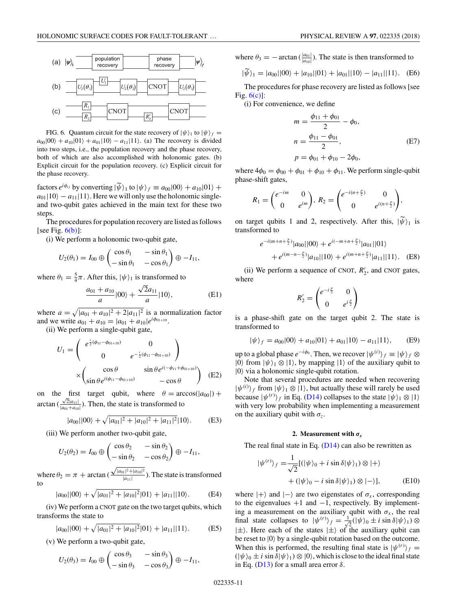<span id="page-10-0"></span>

FIG. 6. Quantum circuit for the state recovery of  $|\psi\rangle_1$  to  $|\psi\rangle_f =$  $a_{00}|00\rangle + a_{10}|01\rangle + a_{01}|10\rangle - a_{11}|11\rangle$ . (a) The recovery is divided into two steps, i.e., the population recovery and the phase recovery, both of which are also accomplished with holonomic gates. (b) Explicit circuit for the population recovery. (c) Explicit circuit for the phase recovery.

factors  $e^{i\phi_{ij}}$  by converting  $|\psi_{i}|$  to  $|\psi_{j}| \equiv a_{00}|00\rangle + a_{10}|01\rangle + a_{10}|01\rangle$  $a_{01}|10\rangle - a_{11}|11\rangle$ . Here we will only use the holonomic singleand two-qubit gates achieved in the main text for these two steps.

The procedures for population recovery are listed as follows [see Fig.  $6(b)$ ]:

(i) We perform a holonomic two-qubit gate,

$$
U_2(\theta_1) = I_{00} \oplus \begin{pmatrix} \cos \theta_1 & -\sin \theta_1 \\ -\sin \theta_1 & -\cos \theta_1 \end{pmatrix} \oplus -I_{11},
$$

where  $\theta_1 = \frac{5}{4}\pi$ . After this,  $|\psi\rangle_1$  is transformed to

$$
\frac{a_{01} + a_{10}}{a} |00\rangle + \frac{\sqrt{2}a_{11}}{a} |10\rangle, \tag{E1}
$$

where  $a = \sqrt{|a_{01} + a_{10}|^2 + 2|a_{11}|^2}$  is a normalization factor and we write  $a_{01} + a_{10} = |a_{01} + a_{10}|e^{i\phi_{01+10}}$ .

(ii) We perform a single-qubit gate,

$$
U_1 = \begin{pmatrix} e^{\frac{i}{2}(\phi_{11} - \phi_{01+10})} & 0 \\ 0 & e^{-\frac{i}{2}(\phi_{11} - \phi_{01+10})} \end{pmatrix}
$$

$$
\times \begin{pmatrix} \cos \theta & \sin \theta e^{i(-\phi_{11} + \phi_{01+10})} \\ \sin \theta e^{i(\phi_{11} - \phi_{01+10})} & -\cos \theta \end{pmatrix}
$$
 (E2)

on the first target qubit, where  $\theta = \arccos(|a_{00}|) +$ arctan  $\left(\frac{\sqrt{2}|a_{11}|}{|a_{21}+a_{12}|}\right)$  $\frac{\sqrt{2|a_{11}|}}{|a_{01}+a_{10}|}$ . Then, the state is transformed to

$$
|a_{00}||00\rangle + \sqrt{|a_{01}|^2 + |a_{10}|^2 + |a_{11}|^2}|10\rangle.
$$
 (E3)

(iii) We perform another two-qubit gate,

$$
U_2(\theta_2) = I_{00} \oplus \begin{pmatrix} \cos \theta_2 & -\sin \theta_2 \\ -\sin \theta_2 & -\cos \theta_2 \end{pmatrix} \oplus -I_{11},
$$

where  $\theta_2 = \pi + \arctan \left( \frac{\sqrt{|a_{01}|^2 + |a_{10}|^2}}{|a_{11}|} \right)$ . The state is transformed to

$$
|a_{00}||00\rangle + \sqrt{|a_{01}|^2 + |a_{10}|^2}|01\rangle + |a_{11}||10\rangle. \tag{E4}
$$

(iv) We perform a CNOT gate on the two target qubits, which transforms the state to

$$
|a_{00}||00\rangle + \sqrt{|a_{01}|^2 + |a_{10}|^2}|01\rangle + |a_{11}||11\rangle. \tag{E5}
$$

(v) We perform a two-qubit gate,

$$
U_2(\theta_3) = I_{00} \oplus \begin{pmatrix} \cos \theta_3 & -\sin \theta_3 \\ -\sin \theta_3 & -\cos \theta_3 \end{pmatrix} \oplus -I_{11},
$$

where  $\theta_3 = -\arctan\left(\frac{|a_{01}|}{|a_{10}|}\right)$ . The state is then transformed to

$$
|\psi\rangle_1 = |a_{00}||00\rangle + |a_{10}||01\rangle + |a_{01}||10\rangle - |a_{11}||11\rangle. \quad (E6)
$$

The procedures for phase recovery are listed as follows [see Fig. 6(c)]:

(i) For convenience, we define

$$
m = \frac{\phi_{11} + \phi_{01}}{2} - \phi_0,
$$
  
\n
$$
n = \frac{\phi_{11} - \phi_{01}}{2},
$$
  
\n
$$
p = \phi_{01} + \phi_{10} - 2\phi_0,
$$
 (E7)

where  $4\phi_0 = \phi_{00} + \phi_{01} + \phi_{10} + \phi_{11}$ . We perform single-qubit phase-shift gates,

$$
R_1 = \begin{pmatrix} e^{-im} & 0 \\ 0 & e^{im} \end{pmatrix}, R_2 = \begin{pmatrix} e^{-i(n+\frac{p}{2})} & 0 \\ 0 & e^{i(n+\frac{p}{2})} \end{pmatrix},
$$

on target qubits 1 and 2, respectively. After this,  $|\psi\rangle_1$  is transformed to transformed to

$$
e^{-i(m+n+\frac{p}{2})}|a_{00}||00\rangle + e^{i(-m+n+\frac{p}{2})}|a_{01}||01\rangle
$$
  
+ 
$$
e^{i(m-n-\frac{p}{2})}|a_{10}||10\rangle + e^{i(m+n+\frac{p}{2})}|a_{11}||11\rangle.
$$
 (E8)

(ii) We perform a sequence of CNOT,  $R'_2$ , and CNOT gates, where

$$
R'_2 = \begin{pmatrix} e^{-i\frac{p}{2}} & 0\\ 0 & e^{i\frac{p}{2}} \end{pmatrix}
$$

is a phase-shift gate on the target qubit 2. The state is transformed to

$$
|\psi\rangle_f = a_{00}|00\rangle + a_{10}|01\rangle + a_{01}|10\rangle - a_{11}|11\rangle, \quad (E9)
$$

up to a global phase  $e^{-i\phi_0}$ . Then, we recover  $|\psi^{(i)}\rangle_f \equiv |\psi\rangle_f \otimes$  $|0\rangle$  from  $|\psi\rangle_1 \otimes |1\rangle$ , by mapping  $|1\rangle$  of the auxiliary qubit to  $|0\rangle$  via a holonomic single-qubit rotation.

Note that several procedures are needed when recovering  $|\psi^{(i)}\rangle_f$  from  $|\psi\rangle_1 \otimes |1\rangle$ , but actually these will rarely be used because  $|\psi^{(r)}\rangle_f$  in Eq. [\(D14\)](#page-9-0) collapses to the state  $|\psi\rangle_1 \otimes |1\rangle$ with very low probability when implementing a measurement on the auxiliary qubit with  $\sigma_z$ .

### **2.** Measurement with  $\sigma_x$

The real final state in Eq.  $(D14)$  can also be rewritten as

$$
|\psi^{(r)}\rangle_f = \frac{1}{\sqrt{2}} [(|\psi\rangle_0 + i \sin \delta |\psi\rangle_1) \otimes |+\rangle
$$
  
+ 
$$
(|\psi\rangle_0 - i \sin \delta |\psi\rangle_1) \otimes |-\rangle],
$$
 (E10)

where  $|+\rangle$  and  $|-\rangle$  are two eigenstates of  $\sigma_x$ , corresponding to the eigenvalues  $+1$  and  $-1$ , respectively. By implementing a measurement on the auxiliary qubit with  $\sigma_x$ , the real final state collapses to  $|\psi^{(r)}\rangle_f = \frac{1}{\sqrt{2}}(|\psi\rangle_0 \pm i \sin \delta |\psi\rangle_1) \otimes$  $|\pm\rangle$ . Here each of the states  $|\pm\rangle$  of the auxiliary qubit can be reset to  $|0\rangle$  by a single-qubit rotation based on the outcome. When this is performed, the resulting final state is  $|\psi^{(r)}\rangle_f =$  $(|\psi\rangle_0 \pm i \sin \delta |\psi\rangle_1) \otimes |0\rangle$ , which is close to the ideal final state in Eq. [\(D13\)](#page-9-0) for a small area error *δ*.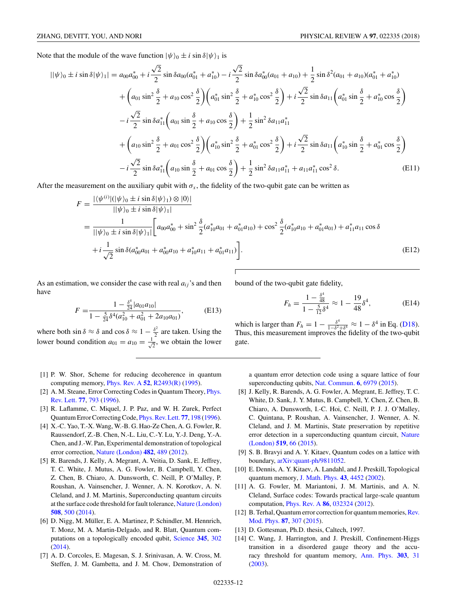<span id="page-11-0"></span>Note that the module of the wave function  $|\psi\rangle_0 \pm i \sin \delta |\psi\rangle_1$  is

$$
||\psi\rangle_{0} \pm i \sin \delta |\psi\rangle_{1}| = a_{00}a_{00}^{*} + i\frac{\sqrt{2}}{2}\sin \delta a_{00}(a_{01}^{*} + a_{10}^{*}) - i\frac{\sqrt{2}}{2}\sin \delta a_{00}^{*}(a_{01} + a_{10}) + \frac{1}{2}\sin \delta^{2}(a_{01} + a_{10})(a_{01}^{*} + a_{10}^{*})
$$
  
+  $\left(a_{01}\sin^{2}\frac{\delta}{2} + a_{10}\cos^{2}\frac{\delta}{2}\right)\left(a_{01}^{*}\sin^{2}\frac{\delta}{2} + a_{10}^{*}\cos^{2}\frac{\delta}{2}\right) + i\frac{\sqrt{2}}{2}\sin \delta a_{11}\left(a_{01}^{*}\sin\frac{\delta}{2} + a_{10}^{*}\cos\frac{\delta}{2}\right)$   
-  $i\frac{\sqrt{2}}{2}\sin \delta a_{11}^{*}\left(a_{01}\sin\frac{\delta}{2} + a_{10}\cos\frac{\delta}{2}\right) + \frac{1}{2}\sin^{2}\delta a_{11}a_{11}^{*}$   
+  $\left(a_{10}\sin^{2}\frac{\delta}{2} + a_{01}\cos^{2}\frac{\delta}{2}\right)\left(a_{10}^{*}\sin^{2}\frac{\delta}{2} + a_{01}^{*}\cos^{2}\frac{\delta}{2}\right) + i\frac{\sqrt{2}}{2}\sin \delta a_{11}\left(a_{10}^{*}\sin\frac{\delta}{2} + a_{01}^{*}\cos\frac{\delta}{2}\right)$   
-  $i\frac{\sqrt{2}}{2}\sin \delta a_{11}^{*}\left(a_{10}\sin\frac{\delta}{2} + a_{01}\cos\frac{\delta}{2}\right) + \frac{1}{2}\sin^{2}\delta a_{11}a_{11}^{*} + a_{11}a_{11}^{*}\cos^{2}\delta.$  (E11)

After the measurement on the auxiliary qubit with  $\sigma_x$ , the fidelity of the two-qubit gate can be written as

$$
F = \frac{|\langle \psi^{(i)}| (|\psi\rangle_0 \pm i \sin \delta |\psi\rangle_1) \otimes |0\rangle|}{||\psi\rangle_0 \pm i \sin \delta |\psi\rangle_1|}
$$
  
= 
$$
\frac{1}{||\psi\rangle_0 \pm i \sin \delta |\psi\rangle_1|} \left[a_{00} a_{00}^* + \sin^2 \frac{\delta}{2} (a_{10}^* a_{01} + a_{01}^* a_{10}) + \cos^2 \frac{\delta}{2} (a_{10}^* a_{10} + a_{01}^* a_{01}) + a_{11}^* a_{11} \cos \delta \right]
$$
  
+ 
$$
i \frac{1}{\sqrt{2}} \sin \delta (a_{00}^* a_{01} + a_{00}^* a_{10} + a_{10}^* a_{11} + a_{01}^* a_{11}) \right].
$$
 (E12)

As an estimation, we consider the case with real  $a_{ij}$ 's and then have

$$
F = \frac{1 - \frac{\delta^4}{24} |a_{01}a_{10}|}{1 - \frac{5}{24}\delta^4(a_{10}^2 + a_{01}^2 + 2a_{10}a_{01})},
$$
(E13)

where both  $\sin \delta \approx \delta$  and  $\cos \delta \approx 1 - \frac{\delta^2}{2}$  are taken. Using the lower bound condition  $a_{01} = a_{10} = \frac{1}{\sqrt{2}}$ , we obtain the lower bound of the two-qubit gate fidelity,

$$
F_h = \frac{1 - \frac{\delta^4}{48}}{1 - \frac{5}{12}\delta^4} \approx 1 - \frac{19}{48}\delta^4,\tag{E14}
$$

which is larger than  $F_h = 1 - \frac{\delta^4}{1 - \delta^2 + \delta^4} \approx 1 - \delta^4$  in Eq. [\(D18\)](#page-9-0). Thus, this measurement improves the fidelity of the two-qubit gate.

- [1] P. W. Shor, Scheme for reducing decoherence in quantum computing memory, [Phys. Rev. A](https://doi.org/10.1103/PhysRevA.52.R2493) **[52](https://doi.org/10.1103/PhysRevA.52.R2493)**, [R2493\(R\)](https://doi.org/10.1103/PhysRevA.52.R2493) [\(1995\)](https://doi.org/10.1103/PhysRevA.52.R2493).
- [2] [A. M. Steane, Error Correcting Codes in Quantum Theory,](https://doi.org/10.1103/PhysRevLett.77.793) *Phys.* Rev. Lett. **[77](https://doi.org/10.1103/PhysRevLett.77.793)**, [793](https://doi.org/10.1103/PhysRevLett.77.793) [\(1996\)](https://doi.org/10.1103/PhysRevLett.77.793).
- [3] R. Laflamme, C. Miquel, J. P. Paz, and W. H. Zurek, Perfect Quantum Error Correcting Code, [Phys. Rev. Lett.](https://doi.org/10.1103/PhysRevLett.77.198) **[77](https://doi.org/10.1103/PhysRevLett.77.198)**, [198](https://doi.org/10.1103/PhysRevLett.77.198) [\(1996\)](https://doi.org/10.1103/PhysRevLett.77.198).
- [4] X.-C. Yao, T.-X. Wang, W.-B. G. Hao-Ze Chen, A. G. Fowler, R. Raussendorf, Z.-B. Chen, N.-L. Liu, C.-Y. Lu, Y.-J. Deng, Y.-A. Chen, and J.-W. Pan, Experimental demonstration of topological error correction, [Nature \(London\)](https://doi.org/10.1038/nature10770) **[482](https://doi.org/10.1038/nature10770)**, [489](https://doi.org/10.1038/nature10770) [\(2012\)](https://doi.org/10.1038/nature10770).
- [5] R. Barends, J. Kelly, A. Megrant, A. Veitia, D. Sank, E. Jeffrey, T. C. White, J. Mutus, A. G. Fowler, B. Campbell, Y. Chen, Z. Chen, B. Chiaro, A. Dunsworth, C. Neill, P. O'Malley, P. Roushan, A. Vainsencher, J. Wenner, A. N. Korotkov, A. N. Cleland, and J. M. Martinis, Superconducting quantum circuits at the surface code threshold for fault tolerance, [Nature \(London\)](https://doi.org/10.1038/nature13171) **[508](https://doi.org/10.1038/nature13171)**, [500](https://doi.org/10.1038/nature13171) [\(2014\)](https://doi.org/10.1038/nature13171).
- [6] D. Nigg, M. Müller, E. A. Martinez, P. Schindler, M. Hennrich, T. Monz, M. A. Martin-Delgado, and R. Blatt, Quantum computations on a topologically encoded qubit, [Science](https://doi.org/10.1126/science.1253742) **[345](https://doi.org/10.1126/science.1253742)**, [302](https://doi.org/10.1126/science.1253742) [\(2014\)](https://doi.org/10.1126/science.1253742).
- [7] A. D. Corcoles, E. Magesan, S. J. Srinivasan, A. W. Cross, M. Steffen, J. M. Gambetta, and J. M. Chow, Demonstration of

a quantum error detection code using a square lattice of four superconducting qubits, [Nat. Commun.](https://doi.org/10.1038/ncomms7979) **[6](https://doi.org/10.1038/ncomms7979)**, [6979](https://doi.org/10.1038/ncomms7979) [\(2015\)](https://doi.org/10.1038/ncomms7979).

- [8] J. Kelly, R. Barends, A. G. Fowler, A. Megrant, E. Jeffrey, T. C. White, D. Sank, J. Y. Mutus, B. Campbell, Y. Chen, Z. Chen, B. Chiaro, A. Dunsworth, I.-C. Hoi, C. Neill, P. J. J. O'Malley, C. Quintana, P. Roushan, A. Vainsencher, J. Wenner, A. N. Cleland, and J. M. Martinis, State preservation by repetitive [error detection in a superconducting quantum circuit,](https://doi.org/10.1038/nature14270) Nature (London) **[519](https://doi.org/10.1038/nature14270)**, [66](https://doi.org/10.1038/nature14270) [\(2015\)](https://doi.org/10.1038/nature14270).
- [9] S. B. Bravyi and A. Y. Kitaev, Quantum codes on a lattice with boundary, [arXiv:quant-ph/9811052.](http://arxiv.org/abs/arXiv:quant-ph/9811052)
- [10] E. Dennis, A. Y. Kitaev, A. Landahl, and J. Preskill, Topological quantum memory, [J. Math. Phys.](https://doi.org/10.1063/1.1499754) **[43](https://doi.org/10.1063/1.1499754)**, [4452](https://doi.org/10.1063/1.1499754) [\(2002\)](https://doi.org/10.1063/1.1499754).
- [11] A. G. Fowler, M. Mariantoni, J. M. Martinis, and A. N. Cleland, Surface codes: Towards practical large-scale quantum computation, [Phys. Rev. A](https://doi.org/10.1103/PhysRevA.86.032324) **[86](https://doi.org/10.1103/PhysRevA.86.032324)**, [032324](https://doi.org/10.1103/PhysRevA.86.032324) [\(2012\)](https://doi.org/10.1103/PhysRevA.86.032324).
- [12] B. Terhal, Quantum error correction for quantum memories, Rev. Mod. Phys. **[87](https://doi.org/10.1103/RevModPhys.87.307)**, [307](https://doi.org/10.1103/RevModPhys.87.307) [\(2015\)](https://doi.org/10.1103/RevModPhys.87.307).
- [13] D. Gottesman, Ph.D. thesis, Caltech, 1997.
- [14] C. Wang, J. Harrington, and J. Preskill, Confinement-Higgs transition in a disordered gauge theory and the accuracy threshold for quantum memory, [Ann. Phys.](https://doi.org/10.1016/S0003-4916(02)00019-2) **[303](https://doi.org/10.1016/S0003-4916(02)00019-2)**, [31](https://doi.org/10.1016/S0003-4916(02)00019-2) [\(2003\)](https://doi.org/10.1016/S0003-4916(02)00019-2).